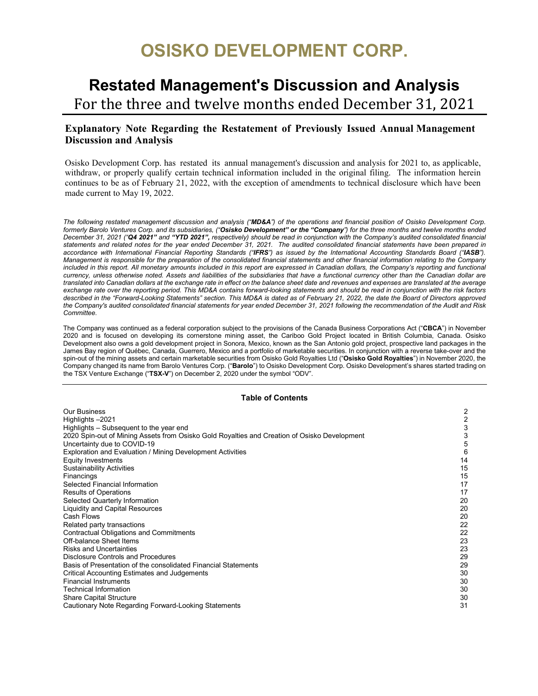# **OSISKO DEVELOPMENT CORP.**

# **Restated Management's Discussion and Analysis**

For the three and twelve months ended December 31, 2021

# **Explanatory Note Regarding the Restatement of Previously Issued Annual Management Discussion and Analysis**

Osisko Development Corp. has restated its annual management's discussion and analysis for 2021 to, as applicable, withdraw, or properly qualify certain technical information included in the original filing. The information herein continues to be as of February 21, 2022, with the exception of amendments to technical disclosure which have been made current to May 19, 2022.

*The following restated management discussion and analysis ("MD&A") of the operations and financial position of Osisko Development Corp. formerly Barolo Ventures Corp. and its subsidiaries, ("Osisko Development" or the "Company") for the three months and twelve months ended December 31, 2021 ("Q4 2021" and "YTD 2021", respectively) should be read in conjunction with the Company's audited consolidated financial statements and related notes for the year ended December 31, 2021. The audited consolidated financial statements have been prepared in accordance with International Financial Reporting Standards ("IFRS") as issued by the International Accounting Standards Board ("IASB"). Management is responsible for the preparation of the consolidated financial statements and other financial information relating to the Company* included in this report. All monetary amounts included in this report are expressed in Canadian dollars, the Company's reporting and functional *currency, unless otherwise noted. Assets and liabilities of the subsidiaries that have a functional currency other than the Canadian dollar are translated into Canadian dollars at the exchange rate in effect on the balance sheet date and revenues and expenses are translated at the average exchange rate over the reporting period. This MD&A contains forward-looking statements and should be read in conjunction with the risk factors described in the "Forward-Looking Statements" section. This MD&A is dated as of February 21, 2022, the date the Board of Directors approved the Company's audited consolidated financial statements for year ended December 31, 2021 following the recommendation of the Audit and Risk Committee.*

The Company was continued as a federal corporation subject to the provisions of the Canada Business Corporations Act ("**CBCA**") in November 2020 and is focused on developing its cornerstone mining asset, the Cariboo Gold Project located in British Columbia, Canada. Osisko Development also owns a gold development project in Sonora, Mexico, known as the San Antonio gold project, prospective land packages in the James Bay region of Québec, Canada, Guerrero, Mexico and a portfolio of marketable securities. In conjunction with a reverse take-over and the spin-out of the mining assets and certain marketable securities from Osisko Gold Royalties Ltd ("**Osisko Gold Royalties**") in November 2020, the Company changed its name from Barolo Ventures Corp. ("**Barolo**") to Osisko Development Corp. Osisko Development's shares started trading on the TSX Venture Exchange ("**TSX-V**") on December 2, 2020 under the symbol "ODV".

# **Table of Contents**

| <b>Our Business</b>                                                                          | 2  |
|----------------------------------------------------------------------------------------------|----|
| Highlights -2021                                                                             | 2  |
| Highlights – Subsequent to the year end                                                      | 3  |
| 2020 Spin-out of Mining Assets from Osisko Gold Royalties and Creation of Osisko Development | 3  |
| Uncertainty due to COVID-19                                                                  | 5  |
| Exploration and Evaluation / Mining Development Activities                                   | 6  |
| Equity Investments                                                                           | 14 |
| <b>Sustainability Activities</b>                                                             | 15 |
| Financings                                                                                   | 15 |
| Selected Financial Information                                                               | 17 |
| <b>Results of Operations</b>                                                                 | 17 |
| Selected Quarterly Information                                                               | 20 |
| <b>Liquidity and Capital Resources</b>                                                       | 20 |
| Cash Flows                                                                                   | 20 |
| Related party transactions                                                                   | 22 |
| <b>Contractual Obligations and Commitments</b>                                               | 22 |
| Off-balance Sheet Items                                                                      | 23 |
| <b>Risks and Uncertainties</b>                                                               | 23 |
| Disclosure Controls and Procedures                                                           | 29 |
| Basis of Presentation of the consolidated Financial Statements                               | 29 |
| Critical Accounting Estimates and Judgements                                                 | 30 |
| <b>Financial Instruments</b>                                                                 | 30 |
| <b>Technical Information</b>                                                                 | 30 |
| <b>Share Capital Structure</b>                                                               | 30 |
| Cautionary Note Regarding Forward-Looking Statements                                         | 31 |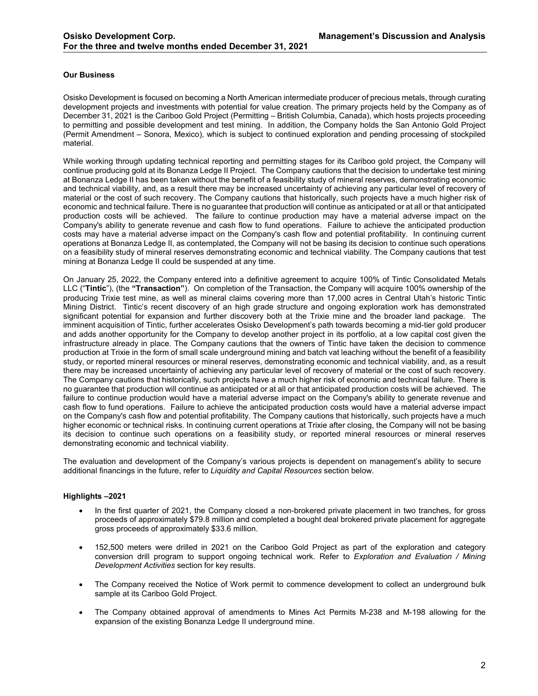# <span id="page-1-0"></span>**Our Business**

Osisko Development is focused on becoming a North American intermediate producer of precious metals, through curating development projects and investments with potential for value creation. The primary projects held by the Company as of December 31, 2021 is the Cariboo Gold Project (Permitting – British Columbia, Canada), which hosts projects proceeding to permitting and possible development and test mining. In addition, the Company holds the San Antonio Gold Project (Permit Amendment – Sonora, Mexico), which is subject to continued exploration and pending processing of stockpiled material.

While working through updating technical reporting and permitting stages for its Cariboo gold project, the Company will continue producing gold at its Bonanza Ledge II Project. The Company cautions that the decision to undertake test mining at Bonanza Ledge II has been taken without the benefit of a feasibility study of mineral reserves, demonstrating economic and technical viability, and, as a result there may be increased uncertainty of achieving any particular level of recovery of material or the cost of such recovery. The Company cautions that historically, such projects have a much higher risk of economic and technical failure. There is no guarantee that production will continue as anticipated or at all or that anticipated production costs will be achieved. The failure to continue production may have a material adverse impact on the Company's ability to generate revenue and cash flow to fund operations. Failure to achieve the anticipated production costs may have a material adverse impact on the Company's cash flow and potential profitability. In continuing current operations at Bonanza Ledge II, as contemplated, the Company will not be basing its decision to continue such operations on a feasibility study of mineral reserves demonstrating economic and technical viability. The Company cautions that test mining at Bonanza Ledge II could be suspended at any time.

On January 25, 2022, the Company entered into a definitive agreement to acquire 100% of Tintic Consolidated Metals LLC ("**Tintic**"), (the **"Transaction"**). On completion of the Transaction, the Company will acquire 100% ownership of the producing Trixie test mine, as well as mineral claims covering more than 17,000 acres in Central Utah's historic Tintic Mining District. Tintic's recent discovery of an high grade structure and ongoing exploration work has demonstrated significant potential for expansion and further discovery both at the Trixie mine and the broader land package. The imminent acquisition of Tintic, further accelerates Osisko Development's path towards becoming a mid-tier gold producer and adds another opportunity for the Company to develop another project in its portfolio, at a low capital cost given the infrastructure already in place. The Company cautions that the owners of Tintic have taken the decision to commence production at Trixie in the form of small scale underground mining and batch vat leaching without the benefit of a feasibility study, or reported mineral resources or mineral reserves, demonstrating economic and technical viability, and, as a result there may be increased uncertainty of achieving any particular level of recovery of material or the cost of such recovery. The Company cautions that historically, such projects have a much higher risk of economic and technical failure. There is no guarantee that production will continue as anticipated or at all or that anticipated production costs will be achieved. The failure to continue production would have a material adverse impact on the Company's ability to generate revenue and cash flow to fund operations. Failure to achieve the anticipated production costs would have a material adverse impact on the Company's cash flow and potential profitability. The Company cautions that historically, such projects have a much higher economic or technical risks. In continuing current operations at Trixie after closing, the Company will not be basing its decision to continue such operations on a feasibility study, or reported mineral resources or mineral reserves demonstrating economic and technical viability.

The evaluation and development of the Company's various projects is dependent on management's ability to secure additional financings in the future, refer to *Liquidity and Capital Resources* section below.

#### <span id="page-1-1"></span>**Highlights –2021**

- In the first quarter of 2021, the Company closed a non-brokered private placement in two tranches, for gross proceeds of approximately \$79.8 million and completed a bought deal brokered private placement for aggregate gross proceeds of approximately \$33.6 million.
- 152,500 meters were drilled in 2021 on the Cariboo Gold Project as part of the exploration and category conversion drill program to support ongoing technical work. Refer to *Exploration and Evaluation / Mining Development Activities* section for key results.
- The Company received the Notice of Work permit to commence development to collect an underground bulk sample at its Cariboo Gold Project.
- The Company obtained approval of amendments to Mines Act Permits M-238 and M-198 allowing for the expansion of the existing Bonanza Ledge II underground mine.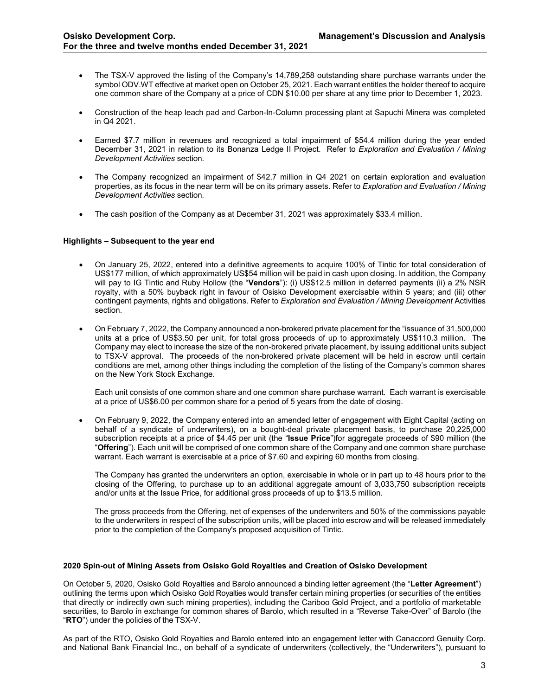- The TSX-V approved the listing of the Company's 14,789,258 outstanding share purchase warrants under the symbol ODV.WT effective at market open on October 25, 2021. Each warrant entitles the holder thereof to acquire one common share of the Company at a price of CDN \$10.00 per share at any time prior to December 1, 2023.
- Construction of the heap leach pad and Carbon-In-Column processing plant at Sapuchi Minera was completed in Q4 2021.
- Earned \$7.7 million in revenues and recognized a total impairment of \$54.4 million during the year ended December 31, 2021 in relation to its Bonanza Ledge II Project. Refer to *Exploration and Evaluation / Mining Development Activities* section*.*
- The Company recognized an impairment of \$42.7 million in Q4 2021 on certain exploration and evaluation properties, as its focus in the near term will be on its primary assets. Refer to *Exploration and Evaluation / Mining Development Activities* section*.*
- The cash position of the Company as at December 31, 2021 was approximately \$33.4 million.

#### <span id="page-2-0"></span>**Highlights – Subsequent to the year end**

- On January 25, 2022, entered into a definitive agreements to acquire 100% of Tintic for total consideration of US\$177 million, of which approximately US\$54 million will be paid in cash upon closing. In addition, the Company will pay to IG Tintic and Ruby Hollow (the "**Vendors**"): (i) US\$12.5 million in deferred payments (ii) a 2% NSR royalty, with a 50% buyback right in favour of Osisko Development exercisable within 5 years; and (iii) other contingent payments, rights and obligations. Refer to *Exploration and Evaluation / Mining Development* Activities section.
- On February 7, 2022, the Company announced a non-brokered private placement for the "issuance of 31,500,000 units at a price of US\$3.50 per unit, for total gross proceeds of up to approximately US\$110.3 million. The Company may elect to increase the size of the non-brokered private placement, by issuing additional units subject to TSX-V approval. The proceeds of the non-brokered private placement will be held in escrow until certain conditions are met, among other things including the completion of the listing of the Company's common shares on the New York Stock Exchange.

Each unit consists of one common share and one common share purchase warrant. Each warrant is exercisable at a price of US\$6.00 per common share for a period of 5 years from the date of closing.

• On February 9, 2022, the Company entered into an amended letter of engagement with Eight Capital (acting on behalf of a syndicate of underwriters), on a bought-deal private placement basis, to purchase 20,225,000 subscription receipts at a price of \$4.45 per unit (the "**Issue Price**")for aggregate proceeds of \$90 million (the "**Offering**"). Each unit will be comprised of one common share of the Company and one common share purchase warrant. Each warrant is exercisable at a price of \$7.60 and expiring 60 months from closing.

The Company has granted the underwriters an option, exercisable in whole or in part up to 48 hours prior to the closing of the Offering, to purchase up to an additional aggregate amount of 3,033,750 subscription receipts and/or units at the Issue Price, for additional gross proceeds of up to \$13.5 million.

The gross proceeds from the Offering, net of expenses of the underwriters and 50% of the commissions payable to the underwriters in respect of the subscription units, will be placed into escrow and will be released immediately prior to the completion of the Company's proposed acquisition of Tintic.

#### <span id="page-2-1"></span>**2020 Spin-out of Mining Assets from Osisko Gold Royalties and Creation of Osisko Development**

On October 5, 2020, Osisko Gold Royalties and Barolo announced a binding letter agreement (the "**Letter Agreement**") outlining the terms upon which Osisko Gold Royalties would transfer certain mining properties (or securities of the entities that directly or indirectly own such mining properties), including the Cariboo Gold Project, and a portfolio of marketable securities, to Barolo in exchange for common shares of Barolo, which resulted in a "Reverse Take-Over" of Barolo (the "**RTO**") under the policies of the TSX-V.

As part of the RTO, Osisko Gold Royalties and Barolo entered into an engagement letter with Canaccord Genuity Corp. and National Bank Financial Inc., on behalf of a syndicate of underwriters (collectively, the "Underwriters"), pursuant to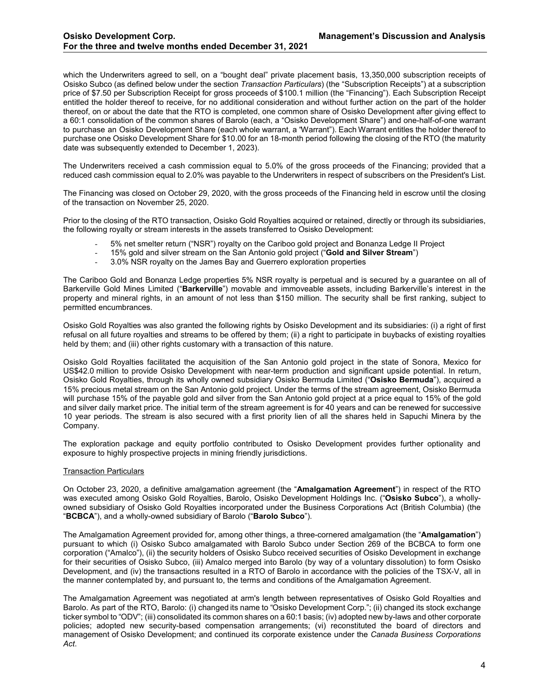which the Underwriters agreed to sell, on a "bought deal" private placement basis, 13,350,000 subscription receipts of Osisko Subco (as defined below under the section *Transaction Particulars*) (the "Subscription Receipts") at a subscription price of \$7.50 per Subscription Receipt for gross proceeds of \$100.1 million (the "Financing"). Each Subscription Receipt entitled the holder thereof to receive, for no additional consideration and without further action on the part of the holder thereof, on or about the date that the RTO is completed, one common share of Osisko Development after giving effect to a 60:1 consolidation of the common shares of Barolo (each, a "Osisko Development Share") and one-half-of-one warrant to purchase an Osisko Development Share (each whole warrant, a "Warrant"). Each Warrant entitles the holder thereof to purchase one Osisko Development Share for \$10.00 for an 18-month period following the closing of the RTO (the maturity date was subsequently extended to December 1, 2023).

The Underwriters received a cash commission equal to 5.0% of the gross proceeds of the Financing; provided that a reduced cash commission equal to 2.0% was payable to the Underwriters in respect of subscribers on the President's List.

The Financing was closed on October 29, 2020, with the gross proceeds of the Financing held in escrow until the closing of the transaction on November 25, 2020.

Prior to the closing of the RTO transaction, Osisko Gold Royalties acquired or retained, directly or through its subsidiaries, the following royalty or stream interests in the assets transferred to Osisko Development:

- 5% net smelter return ("NSR") royalty on the Cariboo gold project and Bonanza Ledge II Project
- 15% gold and silver stream on the San Antonio gold project ("**Gold and Silver Stream**")
- 3.0% NSR royalty on the James Bay and Guerrero exploration properties

The Cariboo Gold and Bonanza Ledge properties 5% NSR royalty is perpetual and is secured by a guarantee on all of Barkerville Gold Mines Limited ("**Barkerville**") movable and immoveable assets, including Barkerville's interest in the property and mineral rights, in an amount of not less than \$150 million. The security shall be first ranking, subject to permitted encumbrances.

Osisko Gold Royalties was also granted the following rights by Osisko Development and its subsidiaries: (i) a right of first refusal on all future royalties and streams to be offered by them; (ii) a right to participate in buybacks of existing royalties held by them; and (iii) other rights customary with a transaction of this nature.

Osisko Gold Royalties facilitated the acquisition of the San Antonio gold project in the state of Sonora, Mexico for US\$42.0 million to provide Osisko Development with near-term production and significant upside potential. In return, Osisko Gold Royalties, through its wholly owned subsidiary Osisko Bermuda Limited ("**Osisko Bermuda**"), acquired a 15% precious metal stream on the San Antonio gold project. Under the terms of the stream agreement, Osisko Bermuda will purchase 15% of the payable gold and silver from the San Antonio gold project at a price equal to 15% of the gold and silver daily market price. The initial term of the stream agreement is for 40 years and can be renewed for successive 10 year periods. The stream is also secured with a first priority lien of all the shares held in Sapuchi Minera by the Company.

The exploration package and equity portfolio contributed to Osisko Development provides further optionality and exposure to highly prospective projects in mining friendly jurisdictions.

#### Transaction Particulars

On October 23, 2020, a definitive amalgamation agreement (the "**Amalgamation Agreement**") in respect of the RTO was executed among Osisko Gold Royalties, Barolo, Osisko Development Holdings Inc. ("**Osisko Subco**"), a whollyowned subsidiary of Osisko Gold Royalties incorporated under the Business Corporations Act (British Columbia) (the "**BCBCA**"), and a wholly-owned subsidiary of Barolo ("**Barolo Subco**").

The Amalgamation Agreement provided for, among other things, a three-cornered amalgamation (the "**Amalgamation**") pursuant to which (i) Osisko Subco amalgamated with Barolo Subco under Section 269 of the BCBCA to form one corporation ("Amalco"), (ii) the security holders of Osisko Subco received securities of Osisko Development in exchange for their securities of Osisko Subco, (iii) Amalco merged into Barolo (by way of a voluntary dissolution) to form Osisko Development, and (iv) the transactions resulted in a RTO of Barolo in accordance with the policies of the TSX-V, all in the manner contemplated by, and pursuant to, the terms and conditions of the Amalgamation Agreement.

The Amalgamation Agreement was negotiated at arm's length between representatives of Osisko Gold Royalties and Barolo. As part of the RTO, Barolo: (i) changed its name to "Osisko Development Corp."; (ii) changed its stock exchange ticker symbol to "ODV"; (iii) consolidated its common shares on a 60:1 basis; (iv) adopted new by-laws and other corporate policies; adopted new security-based compensation arrangements; (vi) reconstituted the board of directors and management of Osisko Development; and continued its corporate existence under the *Canada Business Corporations Act*.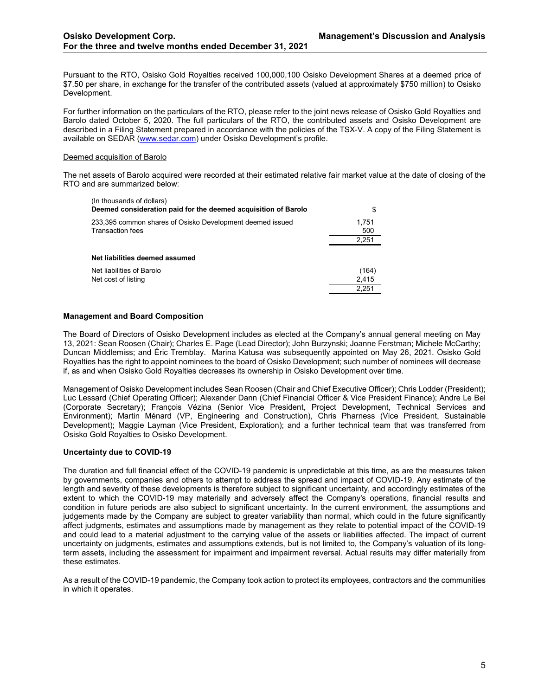Pursuant to the RTO, Osisko Gold Royalties received 100,000,100 Osisko Development Shares at a deemed price of \$7.50 per share, in exchange for the transfer of the contributed assets (valued at approximately \$750 million) to Osisko Development.

For further information on the particulars of the RTO, please refer to the joint news release of Osisko Gold Royalties and Barolo dated October 5, 2020. The full particulars of the RTO, the contributed assets and Osisko Development are described in a Filing Statement prepared in accordance with the policies of the TSX-V. A copy of the Filing Statement is available on SEDAR [\(www.sedar.com\)](http://www.sedar.com/) under Osisko Development's profile.

## Deemed acquisition of Barolo

The net assets of Barolo acquired were recorded at their estimated relative fair market value at the date of closing of the RTO and are summarized below:

| (In thousands of dollars)<br>Deemed consideration paid for the deemed acquisition of Barolo |              |
|---------------------------------------------------------------------------------------------|--------------|
| 233,395 common shares of Osisko Development deemed issued<br>Transaction fees               | 1.751<br>500 |
|                                                                                             | 2,251        |
| Net liabilities deemed assumed                                                              |              |
| Net liabilities of Barolo                                                                   | (164)        |
| Net cost of listing                                                                         | 2,415        |
|                                                                                             | 2.251        |
|                                                                                             |              |

# **Management and Board Composition**

The Board of Directors of Osisko Development includes as elected at the Company's annual general meeting on May 13, 2021: Sean Roosen (Chair); Charles E. Page (Lead Director); John Burzynski; Joanne Ferstman; Michele McCarthy; Duncan Middlemiss; and Éric Tremblay. Marina Katusa was subsequently appointed on May 26, 2021. Osisko Gold Royalties has the right to appoint nominees to the board of Osisko Development; such number of nominees will decrease if, as and when Osisko Gold Royalties decreases its ownership in Osisko Development over time.

Management of Osisko Development includes Sean Roosen (Chair and Chief Executive Officer); Chris Lodder (President); Luc Lessard (Chief Operating Officer); Alexander Dann (Chief Financial Officer & Vice President Finance); Andre Le Bel (Corporate Secretary); François Vézina (Senior Vice President, Project Development, Technical Services and Environment); Martin Ménard (VP, Engineering and Construction), Chris Pharness (Vice President, Sustainable Development); Maggie Layman (Vice President, Exploration); and a further technical team that was transferred from Osisko Gold Royalties to Osisko Development.

#### <span id="page-4-0"></span>**Uncertainty due to COVID-19**

The duration and full financial effect of the COVID-19 pandemic is unpredictable at this time, as are the measures taken by governments, companies and others to attempt to address the spread and impact of COVID-19. Any estimate of the length and severity of these developments is therefore subject to significant uncertainty, and accordingly estimates of the extent to which the COVID-19 may materially and adversely affect the Company's operations, financial results and condition in future periods are also subject to significant uncertainty. In the current environment, the assumptions and judgements made by the Company are subject to greater variability than normal, which could in the future significantly affect judgments, estimates and assumptions made by management as they relate to potential impact of the COVID-19 and could lead to a material adjustment to the carrying value of the assets or liabilities affected. The impact of current uncertainty on judgments, estimates and assumptions extends, but is not limited to, the Company's valuation of its longterm assets, including the assessment for impairment and impairment reversal. Actual results may differ materially from these estimates.

As a result of the COVID-19 pandemic, the Company took action to protect its employees, contractors and the communities in which it operates.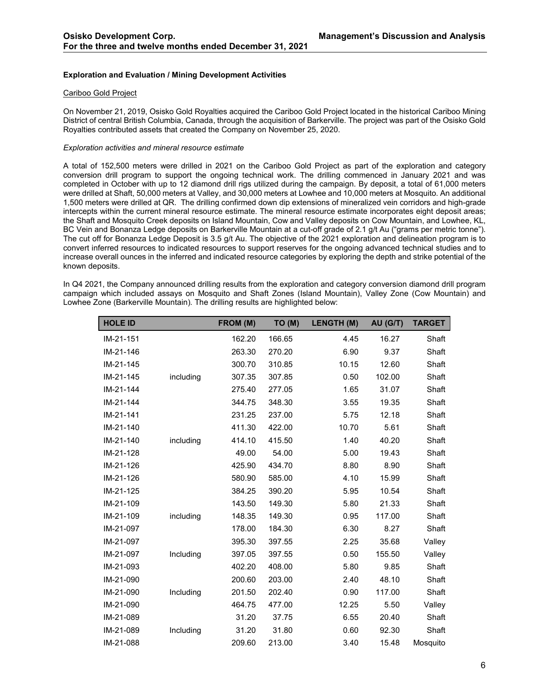# <span id="page-5-0"></span>**Exploration and Evaluation / Mining Development Activities**

#### Cariboo Gold Project

On November 21, 2019, Osisko Gold Royalties acquired the Cariboo Gold Project located in the historical Cariboo Mining District of central British Columbia, Canada, through the acquisition of Barkerville. The project was part of the Osisko Gold Royalties contributed assets that created the Company on November 25, 2020.

#### *Exploration activities and mineral resource estimate*

A total of 152,500 meters were drilled in 2021 on the Cariboo Gold Project as part of the exploration and category conversion drill program to support the ongoing technical work. The drilling commenced in January 2021 and was completed in October with up to 12 diamond drill rigs utilized during the campaign. By deposit, a total of 61,000 meters were drilled at Shaft, 50,000 meters at Valley, and 30,000 meters at Lowhee and 10,000 meters at Mosquito. An additional 1,500 meters were drilled at QR. The drilling confirmed down dip extensions of mineralized vein corridors and high-grade intercepts within the current mineral resource estimate. The mineral resource estimate incorporates eight deposit areas; the Shaft and Mosquito Creek deposits on Island Mountain, Cow and Valley deposits on Cow Mountain, and Lowhee, KL, BC Vein and Bonanza Ledge deposits on Barkerville Mountain at a cut-off grade of 2.1 g/t Au ("grams per metric tonne"). The cut off for Bonanza Ledge Deposit is 3.5 g/t Au. The objective of the 2021 exploration and delineation program is to convert inferred resources to indicated resources to support reserves for the ongoing advanced technical studies and to increase overall ounces in the inferred and indicated resource categories by exploring the depth and strike potential of the known deposits.

In Q4 2021, the Company announced drilling results from the exploration and category conversion diamond drill program campaign which included assays on Mosquito and Shaft Zones (Island Mountain), Valley Zone (Cow Mountain) and Lowhee Zone (Barkerville Mountain). The drilling results are highlighted below:

| <b>HOLE ID</b> |           | FROM (M) | TO (M) | <b>LENGTH (M)</b> | AU (G/T) | <b>TARGET</b> |
|----------------|-----------|----------|--------|-------------------|----------|---------------|
| IM-21-151      |           | 162.20   | 166.65 | 4.45              | 16.27    | Shaft         |
| IM-21-146      |           | 263.30   | 270.20 | 6.90              | 9.37     | Shaft         |
| IM-21-145      |           | 300.70   | 310.85 | 10.15             | 12.60    | Shaft         |
| IM-21-145      | including | 307.35   | 307.85 | 0.50              | 102.00   | Shaft         |
| IM-21-144      |           | 275.40   | 277.05 | 1.65              | 31.07    | Shaft         |
| IM-21-144      |           | 344.75   | 348.30 | 3.55              | 19.35    | Shaft         |
| IM-21-141      |           | 231.25   | 237.00 | 5.75              | 12.18    | Shaft         |
| IM-21-140      |           | 411.30   | 422.00 | 10.70             | 5.61     | Shaft         |
| IM-21-140      | including | 414.10   | 415.50 | 1.40              | 40.20    | Shaft         |
| IM-21-128      |           | 49.00    | 54.00  | 5.00              | 19.43    | Shaft         |
| IM-21-126      |           | 425.90   | 434.70 | 8.80              | 8.90     | Shaft         |
| IM-21-126      |           | 580.90   | 585.00 | 4.10              | 15.99    | Shaft         |
| IM-21-125      |           | 384.25   | 390.20 | 5.95              | 10.54    | Shaft         |
| IM-21-109      |           | 143.50   | 149.30 | 5.80              | 21.33    | Shaft         |
| IM-21-109      | including | 148.35   | 149.30 | 0.95              | 117.00   | Shaft         |
| IM-21-097      |           | 178.00   | 184.30 | 6.30              | 8.27     | Shaft         |
| IM-21-097      |           | 395.30   | 397.55 | 2.25              | 35.68    | Valley        |
| IM-21-097      | Including | 397.05   | 397.55 | 0.50              | 155.50   | Valley        |
| IM-21-093      |           | 402.20   | 408.00 | 5.80              | 9.85     | Shaft         |
| IM-21-090      |           | 200.60   | 203.00 | 2.40              | 48.10    | Shaft         |
| IM-21-090      | Including | 201.50   | 202.40 | 0.90              | 117.00   | Shaft         |
| IM-21-090      |           | 464.75   | 477.00 | 12.25             | 5.50     | Valley        |
| IM-21-089      |           | 31.20    | 37.75  | 6.55              | 20.40    | Shaft         |
| IM-21-089      | Including | 31.20    | 31.80  | 0.60              | 92.30    | Shaft         |
| IM-21-088      |           | 209.60   | 213.00 | 3.40              | 15.48    | Mosquito      |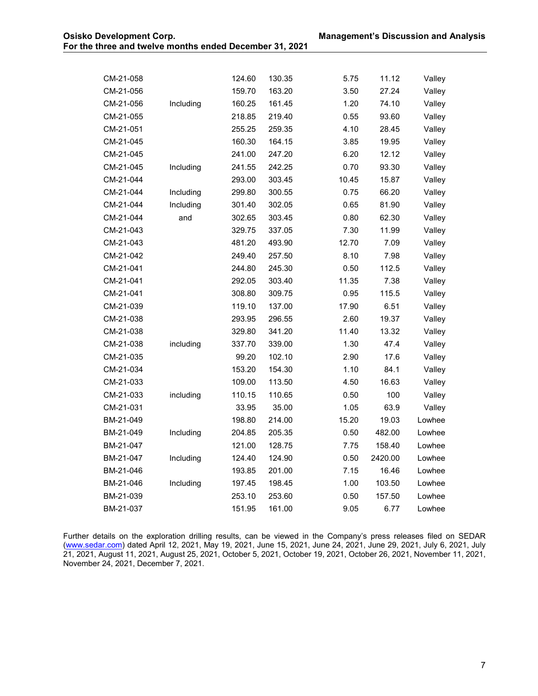| CM-21-058 |           | 124.60 | 130.35 | 5.75  | 11.12   | Valley |
|-----------|-----------|--------|--------|-------|---------|--------|
| CM-21-056 |           | 159.70 | 163.20 | 3.50  | 27.24   | Valley |
| CM-21-056 | Including | 160.25 | 161.45 | 1.20  | 74.10   | Valley |
| CM-21-055 |           | 218.85 | 219.40 | 0.55  | 93.60   | Valley |
| CM-21-051 |           | 255.25 | 259.35 | 4.10  | 28.45   | Valley |
| CM-21-045 |           | 160.30 | 164.15 | 3.85  | 19.95   | Valley |
| CM-21-045 |           | 241.00 | 247.20 | 6.20  | 12.12   | Valley |
| CM-21-045 | Including | 241.55 | 242.25 | 0.70  | 93.30   | Valley |
| CM-21-044 |           | 293.00 | 303.45 | 10.45 | 15.87   | Valley |
| CM-21-044 | Including | 299.80 | 300.55 | 0.75  | 66.20   | Valley |
| CM-21-044 | Including | 301.40 | 302.05 | 0.65  | 81.90   | Valley |
| CM-21-044 | and       | 302.65 | 303.45 | 0.80  | 62.30   | Valley |
| CM-21-043 |           | 329.75 | 337.05 | 7.30  | 11.99   | Valley |
| CM-21-043 |           | 481.20 | 493.90 | 12.70 | 7.09    | Valley |
| CM-21-042 |           | 249.40 | 257.50 | 8.10  | 7.98    | Valley |
| CM-21-041 |           | 244.80 | 245.30 | 0.50  | 112.5   | Valley |
| CM-21-041 |           | 292.05 | 303.40 | 11.35 | 7.38    | Valley |
| CM-21-041 |           | 308.80 | 309.75 | 0.95  | 115.5   | Valley |
| CM-21-039 |           | 119.10 | 137.00 | 17.90 | 6.51    | Valley |
| CM-21-038 |           | 293.95 | 296.55 | 2.60  | 19.37   | Valley |
| CM-21-038 |           | 329.80 | 341.20 | 11.40 | 13.32   | Valley |
| CM-21-038 | including | 337.70 | 339.00 | 1.30  | 47.4    | Valley |
| CM-21-035 |           | 99.20  | 102.10 | 2.90  | 17.6    | Valley |
| CM-21-034 |           | 153.20 | 154.30 | 1.10  | 84.1    | Valley |
| CM-21-033 |           | 109.00 | 113.50 | 4.50  | 16.63   | Valley |
| CM-21-033 | including | 110.15 | 110.65 | 0.50  | 100     | Valley |
| CM-21-031 |           | 33.95  | 35.00  | 1.05  | 63.9    | Valley |
| BM-21-049 |           | 198.80 | 214.00 | 15.20 | 19.03   | Lowhee |
| BM-21-049 | Including | 204.85 | 205.35 | 0.50  | 482.00  | Lowhee |
| BM-21-047 |           | 121.00 | 128.75 | 7.75  | 158.40  | Lowhee |
| BM-21-047 | Including | 124.40 | 124.90 | 0.50  | 2420.00 | Lowhee |
| BM-21-046 |           | 193.85 | 201.00 | 7.15  | 16.46   | Lowhee |
| BM-21-046 | Including | 197.45 | 198.45 | 1.00  | 103.50  | Lowhee |
| BM-21-039 |           | 253.10 | 253.60 | 0.50  | 157.50  | Lowhee |
| BM-21-037 |           | 151.95 | 161.00 | 9.05  | 6.77    | Lowhee |

Further details on the exploration drilling results, can be viewed in the Company's press releases filed on SEDAR (<u>www.sedar.com</u>) dated April 12, 2021, May 19, 2021, June 15, 2021, June 24, 2021, June 29, 2021, July 6, 2021, July 21, 2021, August 11, 2021, August 25, 2021, October 5, 2021, October 19, 2021, October 26, 2021, November 11, 2021, November 24, 2021, December 7, 2021.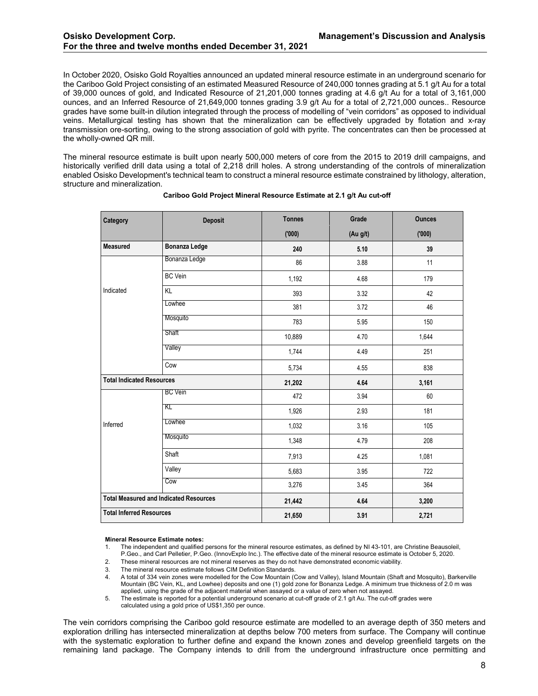In October 2020, Osisko Gold Royalties announced an updated mineral resource estimate in an underground scenario for the Cariboo Gold Project consisting of an estimated Measured Resource of 240,000 tonnes grading at 5.1 g/t Au for a total of 39,000 ounces of gold, and Indicated Resource of 21,201,000 tonnes grading at 4.6 g/t Au for a total of 3,161,000 ounces, and an Inferred Resource of 21,649,000 tonnes grading 3.9 g/t Au for a total of 2,721,000 ounces.. Resource grades have some built-in dilution integrated through the process of modelling of "vein corridors" as opposed to individual veins. Metallurgical testing has shown that the mineralization can be effectively upgraded by flotation and x-ray transmission ore-sorting, owing to the strong association of gold with pyrite. The concentrates can then be processed at the wholly-owned QR mill.

The mineral resource estimate is built upon nearly 500,000 meters of core from the 2015 to 2019 drill campaigns, and historically verified drill data using a total of 2,218 drill holes. A strong understanding of the controls of mineralization enabled Osisko Development's technical team to construct a mineral resource estimate constrained by lithology, alteration, structure and mineralization.

| Category                         | <b>Deposit</b>                                | <b>Tonnes</b> | Grade    | <b>Ounces</b> |
|----------------------------------|-----------------------------------------------|---------------|----------|---------------|
|                                  |                                               | (000)         | (Au g/t) | (000)         |
| <b>Measured</b>                  | <b>Bonanza Ledge</b>                          | 240           | 5.10     | 39            |
|                                  | Bonanza Ledge                                 | 86            | 3.88     | 11            |
|                                  | <b>BC</b> Vein                                | 1,192         | 4.68     | 179           |
| Indicated                        | KL                                            | 393           | 3.32     | 42            |
|                                  | Lowhee                                        | 381           | 3.72     | 46            |
|                                  | Mosquito                                      | 783           | 5.95     | 150           |
|                                  | Shaft                                         | 10,889        | 4.70     | 1,644         |
|                                  | Valley                                        | 1,744         | 4.49     | 251           |
|                                  | Cow                                           | 5,734         | 4.55     | 838           |
| <b>Total Indicated Resources</b> |                                               | 21,202        | 4.64     | 3,161         |
|                                  | <b>BC</b> Vein                                | 472           | 3.94     | 60            |
|                                  | KL                                            | 1,926         | 2.93     | 181           |
| Inferred                         | Lowhee                                        | 1,032         | 3.16     | 105           |
|                                  | Mosquito                                      | 1,348         | 4.79     | 208           |
|                                  | Shaft                                         | 7,913         | 4.25     | 1,081         |
|                                  | Valley                                        | 5,683         | 3.95     | 722           |
|                                  | Cow                                           | 3,276         | 3.45     | 364           |
|                                  | <b>Total Measured and Indicated Resources</b> | 21,442        | 4.64     | 3,200         |
| <b>Total Inferred Resources</b>  |                                               | 21,650        | 3.91     | 2,721         |

#### **Cariboo Gold Project Mineral Resource Estimate at 2.1 g/t Au cut-off**

#### **Mineral Resource Estimate notes:**

1. The independent and qualified persons for the mineral resource estimates, as defined by NI 43-101, are Christine Beausoleil, P.Geo., and Carl Pelletier, P.Geo. (InnovExplo Inc.). The effective date of the mineral resource estimate is October 5, 2020.

- 2. These mineral resources are not mineral reserves as they do not have demonstrated economic viability.
- 3. The mineral resource estimate follows CIM Definition Standards.

4. A total of 334 vein zones were modelled for the Cow Mountain (Cow and Valley), Island Mountain (Shaft and Mosquito), Barkerville Mountain (BC Vein, KL, and Lowhee) deposits and one (1) gold zone for Bonanza Ledge. A minimum true thickness of 2.0 m was applied, using the grade of the adjacent material when assayed or a value of zero when not assayed.

5. The estimate is reported for a potential underground scenario at cut-off grade of 2.1 g/t Au. The cut-off grades were calculated using a gold price of US\$1,350 per ounce.

The vein corridors comprising the Cariboo gold resource estimate are modelled to an average depth of 350 meters and exploration drilling has intersected mineralization at depths below 700 meters from surface. The Company will continue with the systematic exploration to further define and expand the known zones and develop greenfield targets on the remaining land package. The Company intends to drill from the underground infrastructure once permitting and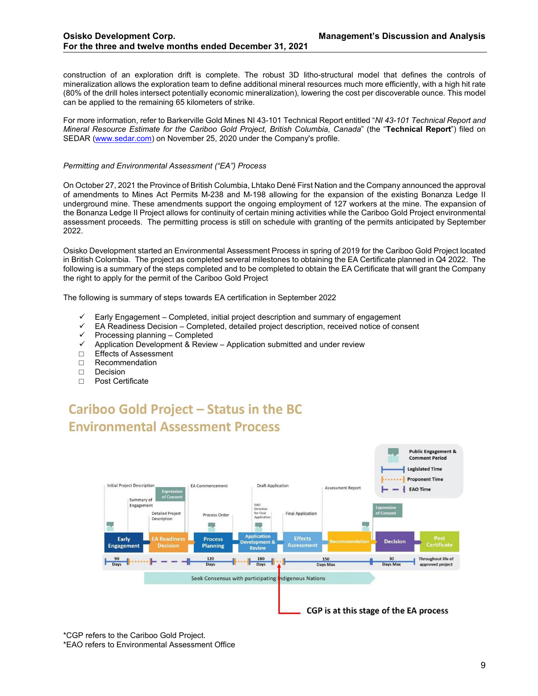construction of an exploration drift is complete. The robust 3D litho-structural model that defines the controls of mineralization allows the exploration team to define additional mineral resources much more efficiently, with a high hit rate (80% of the drill holes intersect potentially economic mineralization), lowering the cost per discoverable ounce. This model can be applied to the remaining 65 kilometers of strike.

For more information, refer to Barkerville Gold Mines NI 43-101 Technical Report entitled "*NI 43-101 Technical Report and Mineral Resource Estimate for the Cariboo Gold Project, British Columbia, Canada*" (the "**Technical Report**") filed on SEDAR [\(www.sedar.com\)](http://www.sedar.com/) on November 25, 2020 under the Company's profile.

#### *Permitting and Environmental Assessment ("EA") Process*

On October 27, 2021 the Province of British Columbia, Lhtako Dené First Nation and the Company announced the approval of amendments to Mines Act Permits M-238 and M-198 allowing for the expansion of the existing Bonanza Ledge II underground mine. These amendments support the ongoing employment of 127 workers at the mine. The expansion of the Bonanza Ledge II Project allows for continuity of certain mining activities while the Cariboo Gold Project environmental assessment proceeds. The permitting process is still on schedule with granting of the permits anticipated by September 2022.

Osisko Development started an Environmental Assessment Process in spring of 2019 for the Cariboo Gold Project located in British Colombia. The project as completed several milestones to obtaining the EA Certificate planned in Q4 2022. The following is a summary of the steps completed and to be completed to obtain the EA Certificate that will grant the Company the right to apply for the permit of the Cariboo Gold Project

The following is summary of steps towards EA certification in September 2022

- Early Engagement Completed, initial project description and summary of engagement
- $\checkmark$  EA Readiness Decision Completed, detailed project description, received notice of consent
- $\checkmark$  Processing planning Completed
- $\checkmark$  Application Development & Review Application submitted and under review
- □ Effects of Assessment<br>□ Recommendation
- □ Recommendation<br>□ Decision
- □ Decision<br>□ Post Cer
- Post Certificate

# **Cariboo Gold Project - Status in the BC Environmental Assessment Process**



\*CGP refers to the Cariboo Gold Project. \*EAO refers to Environmental Assessment Office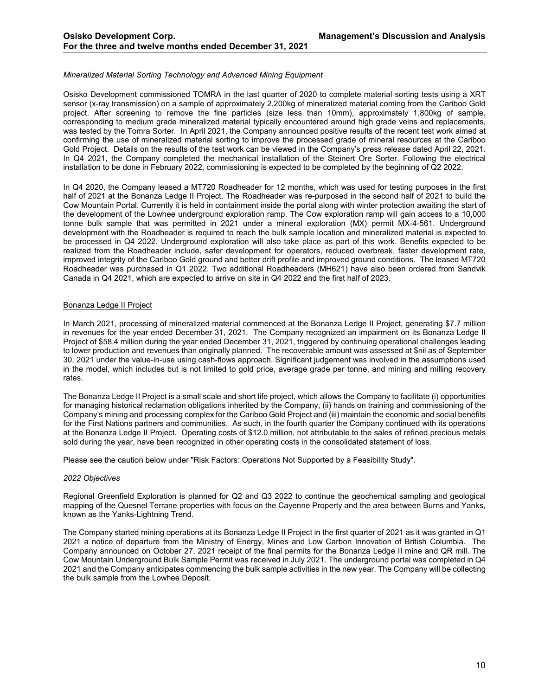# *Mineralized Material Sorting Technology and Advanced Mining Equipment*

Osisko Development commissioned TOMRA in the last quarter of 2020 to complete material sorting tests using a XRT sensor (x-ray transmission) on a sample of approximately 2,200kg of mineralized material coming from the Cariboo Gold project. After screening to remove the fine particles (size less than 10mm), approximately 1,800kg of sample, corresponding to medium grade mineralized material typically encountered around high grade veins and replacements, was tested by the Tomra Sorter. In April 2021, the Company announced positive results of the recent test work aimed at confirming the use of mineralized material sorting to improve the processed grade of mineral resources at the Cariboo Gold Project. Details on the results of the test work can be viewed in the Company's press release dated April 22, 2021. In Q4 2021, the Company completed the mechanical installation of the Steinert Ore Sorter. Following the electrical installation to be done in February 2022, commissioning is expected to be completed by the beginning of Q2 2022.

In Q4 2020, the Company leased a MT720 Roadheader for 12 months, which was used for testing purposes in the first half of 2021 at the Bonanza Ledge II Project. The Roadheader was re-purposed in the second half of 2021 to build the Cow Mountain Portal. Currently it is held in containment inside the portal along with winter protection awaiting the start of the development of the Lowhee underground exploration ramp. The Cow exploration ramp will gain access to a 10,000 tonne bulk sample that was permitted in 2021 under a mineral exploration (MX) permit MX-4-561. Underground development with the Roadheader is required to reach the bulk sample location and mineralized material is expected to be processed in Q4 2022. Underground exploration will also take place as part of this work. Benefits expected to be realized from the Roadheader include, safer development for operators, reduced overbreak, faster development rate, improved integrity of the Cariboo Gold ground and better drift profile and improved ground conditions. The leased MT720 Roadheader was purchased in Q1 2022. Two additional Roadheaders (MH621) have also been ordered from Sandvik Canada in Q4 2021, which are expected to arrive on site in Q4 2022 and the first half of 2023.

#### Bonanza Ledge II Project

In March 2021, processing of mineralized material commenced at the Bonanza Ledge II Project, generating \$7.7 million in revenues for the year ended December 31, 2021. The Company recognized an impairment on its Bonanza Ledge II Project of \$58.4 million during the year ended December 31, 2021, triggered by continuing operational challenges leading to lower production and revenues than originally planned. The recoverable amount was assessed at \$nil as of September 30, 2021 under the value-in-use using cash-flows approach. Significant judgement was involved in the assumptions used in the model, which includes but is not limited to gold price, average grade per tonne, and mining and milling recovery rates.

The Bonanza Ledge II Project is a small scale and short life project, which allows the Company to facilitate (i) opportunities for managing historical reclamation obligations inherited by the Company, (ii) hands on training and commissioning of the Company's mining and processing complex for the Cariboo Gold Project and (iii) maintain the economic and social benefits for the First Nations partners and communities. As such, in the fourth quarter the Company continued with its operations at the Bonanza Ledge II Project. Operating costs of \$12.0 million, not attributable to the sales of refined precious metals sold during the year, have been recognized in other operating costs in the consolidated statement of loss.

Please see the caution below under "Risk Factors: Operations Not Supported by a Feasibility Study".

#### *2022 Objectives*

Regional Greenfield Exploration is planned for Q2 and Q3 2022 to continue the geochemical sampling and geological mapping of the Quesnel Terrane properties with focus on the Cayenne Property and the area between Burns and Yanks, known as the Yanks-Lightning Trend.

The Company started mining operations at its Bonanza Ledge II Project in the first quarter of 2021 as it was granted in Q1 2021 a notice of departure from the Ministry of Energy, Mines and Low Carbon Innovation of British Columbia. The Company announced on October 27, 2021 receipt of the final permits for the Bonanza Ledge II mine and QR mill. The Cow Mountain Underground Bulk Sample Permit was received in July 2021. The underground portal was completed in Q4 2021 and the Company anticipates commencing the bulk sample activities in the new year. The Company will be collecting the bulk sample from the Lowhee Deposit.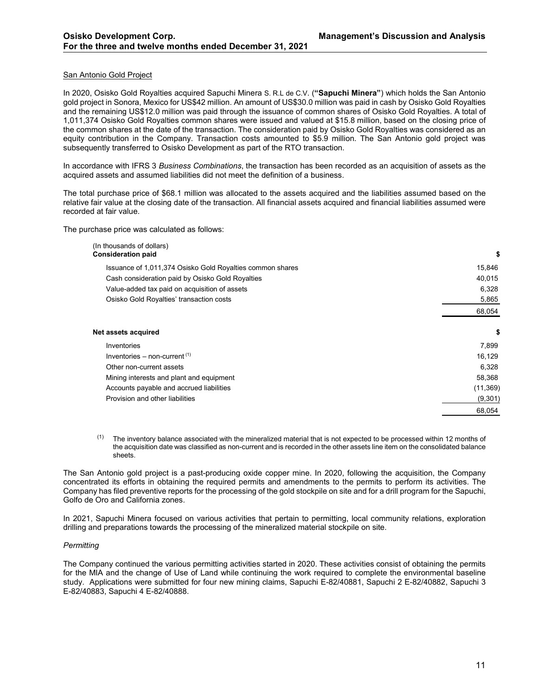## San Antonio Gold Project

In 2020, Osisko Gold Royalties acquired Sapuchi Minera S. R.L de C.V. (**"Sapuchi Minera"**) which holds the San Antonio gold project in Sonora, Mexico for US\$42 million. An amount of US\$30.0 million was paid in cash by Osisko Gold Royalties and the remaining US\$12.0 million was paid through the issuance of common shares of Osisko Gold Royalties. A total of 1,011,374 Osisko Gold Royalties common shares were issued and valued at \$15.8 million, based on the closing price of the common shares at the date of the transaction. The consideration paid by Osisko Gold Royalties was considered as an equity contribution in the Company. Transaction costs amounted to \$5.9 million. The San Antonio gold project was subsequently transferred to Osisko Development as part of the RTO transaction.

In accordance with IFRS 3 *Business Combinations*, the transaction has been recorded as an acquisition of assets as the acquired assets and assumed liabilities did not meet the definition of a business.

The total purchase price of \$68.1 million was allocated to the assets acquired and the liabilities assumed based on the relative fair value at the closing date of the transaction. All financial assets acquired and financial liabilities assumed were recorded at fair value.

The purchase price was calculated as follows:

| (In thousands of dollars)<br><b>Consideration paid</b>    | \$        |
|-----------------------------------------------------------|-----------|
| Issuance of 1,011,374 Osisko Gold Royalties common shares | 15,846    |
| Cash consideration paid by Osisko Gold Royalties          | 40,015    |
| Value-added tax paid on acquisition of assets             | 6,328     |
| Osisko Gold Royalties' transaction costs                  | 5,865     |
|                                                           | 68,054    |
| Net assets acquired                                       | \$        |
| Inventories                                               | 7,899     |
| Inventories – non-current $(1)$                           | 16,129    |
| Other non-current assets                                  | 6,328     |
| Mining interests and plant and equipment                  | 58,368    |
| Accounts payable and accrued liabilities                  | (11, 369) |
| Provision and other liabilities                           | (9,301)   |
|                                                           | 68,054    |

 $<sup>(1)</sup>$  The inventory balance associated with the mineralized material that is not expected to be processed within 12 months of</sup> the acquisition date was classified as non-current and is recorded in the other assets line item on the consolidated balance sheets.

The San Antonio gold project is a past-producing oxide copper mine. In 2020, following the acquisition, the Company concentrated its efforts in obtaining the required permits and amendments to the permits to perform its activities. The Company has filed preventive reports for the processing of the gold stockpile on site and for a drill program for the Sapuchi, Golfo de Oro and California zones.

In 2021, Sapuchi Minera focused on various activities that pertain to permitting, local community relations, exploration drilling and preparations towards the processing of the mineralized material stockpile on site.

#### *Permitting*

The Company continued the various permitting activities started in 2020. These activities consist of obtaining the permits for the MIA and the change of Use of Land while continuing the work required to complete the environmental baseline study. Applications were submitted for four new mining claims, Sapuchi E-82/40881, Sapuchi 2 E-82/40882, Sapuchi 3 E-82/40883, Sapuchi 4 E-82/40888.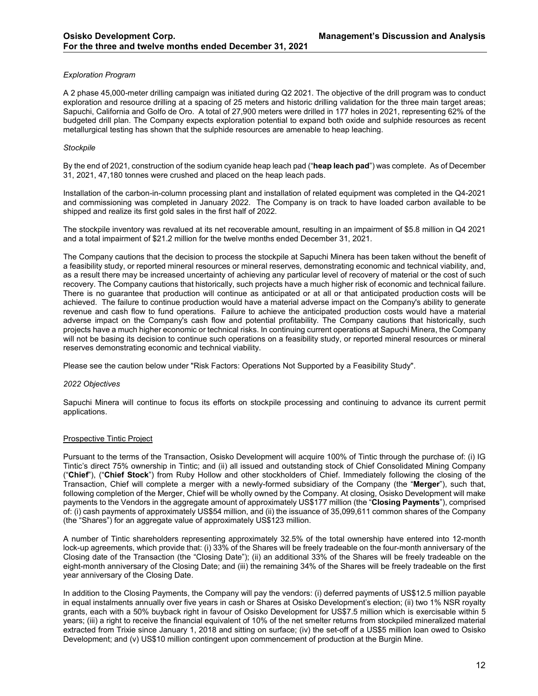# *Exploration Program*

A 2 phase 45,000-meter drilling campaign was initiated during Q2 2021. The objective of the drill program was to conduct exploration and resource drilling at a spacing of 25 meters and historic drilling validation for the three main target areas; Sapuchi, California and Golfo de Oro. A total of 27,900 meters were drilled in 177 holes in 2021, representing 62% of the budgeted drill plan. The Company expects exploration potential to expand both oxide and sulphide resources as recent metallurgical testing has shown that the sulphide resources are amenable to heap leaching.

## *Stockpile*

By the end of 2021, construction of the sodium cyanide heap leach pad ("**heap leach pad**") was complete. As of December 31, 2021, 47,180 tonnes were crushed and placed on the heap leach pads.

Installation of the carbon-in-column processing plant and installation of related equipment was completed in the Q4-2021 and commissioning was completed in January 2022. The Company is on track to have loaded carbon available to be shipped and realize its first gold sales in the first half of 2022.

The stockpile inventory was revalued at its net recoverable amount, resulting in an impairment of \$5.8 million in Q4 2021 and a total impairment of \$21.2 million for the twelve months ended December 31, 2021.

The Company cautions that the decision to process the stockpile at Sapuchi Minera has been taken without the benefit of a feasibility study, or reported mineral resources or mineral reserves, demonstrating economic and technical viability, and, as a result there may be increased uncertainty of achieving any particular level of recovery of material or the cost of such recovery. The Company cautions that historically, such projects have a much higher risk of economic and technical failure. There is no guarantee that production will continue as anticipated or at all or that anticipated production costs will be achieved. The failure to continue production would have a material adverse impact on the Company's ability to generate revenue and cash flow to fund operations. Failure to achieve the anticipated production costs would have a material adverse impact on the Company's cash flow and potential profitability. The Company cautions that historically, such projects have a much higher economic or technical risks. In continuing current operations at Sapuchi Minera, the Company will not be basing its decision to continue such operations on a feasibility study, or reported mineral resources or mineral reserves demonstrating economic and technical viability.

Please see the caution below under "Risk Factors: Operations Not Supported by a Feasibility Study".

#### *2022 Objectives*

Sapuchi Minera will continue to focus its efforts on stockpile processing and continuing to advance its current permit applications.

# Prospective Tintic Project

Pursuant to the terms of the Transaction, Osisko Development will acquire 100% of Tintic through the purchase of: (i) IG Tintic's direct 75% ownership in Tintic; and (ii) all issued and outstanding stock of Chief Consolidated Mining Company ("**Chief**"), ("**Chief Stock**") from Ruby Hollow and other stockholders of Chief. Immediately following the closing of the Transaction, Chief will complete a merger with a newly-formed subsidiary of the Company (the "**Merger**"), such that, following completion of the Merger, Chief will be wholly owned by the Company. At closing, Osisko Development will make payments to the Vendors in the aggregate amount of approximately US\$177 million (the "**Closing Payments**"), comprised of: (i) cash payments of approximately US\$54 million, and (ii) the issuance of 35,099,611 common shares of the Company (the "Shares") for an aggregate value of approximately US\$123 million.

A number of Tintic shareholders representing approximately 32.5% of the total ownership have entered into 12-month lock-up agreements, which provide that: (i) 33% of the Shares will be freely tradeable on the four-month anniversary of the Closing date of the Transaction (the "Closing Date"); (ii) an additional 33% of the Shares will be freely tradeable on the eight-month anniversary of the Closing Date; and (iii) the remaining 34% of the Shares will be freely tradeable on the first year anniversary of the Closing Date.

In addition to the Closing Payments, the Company will pay the vendors: (i) deferred payments of US\$12.5 million payable in equal instalments annually over five years in cash or Shares at Osisko Development's election; (ii) two 1% NSR royalty grants, each with a 50% buyback right in favour of Osisko Development for US\$7.5 million which is exercisable within 5 years; (iii) a right to receive the financial equivalent of 10% of the net smelter returns from stockpiled mineralized material extracted from Trixie since January 1, 2018 and sitting on surface; (iv) the set-off of a US\$5 million loan owed to Osisko Development; and (v) US\$10 million contingent upon commencement of production at the Burgin Mine.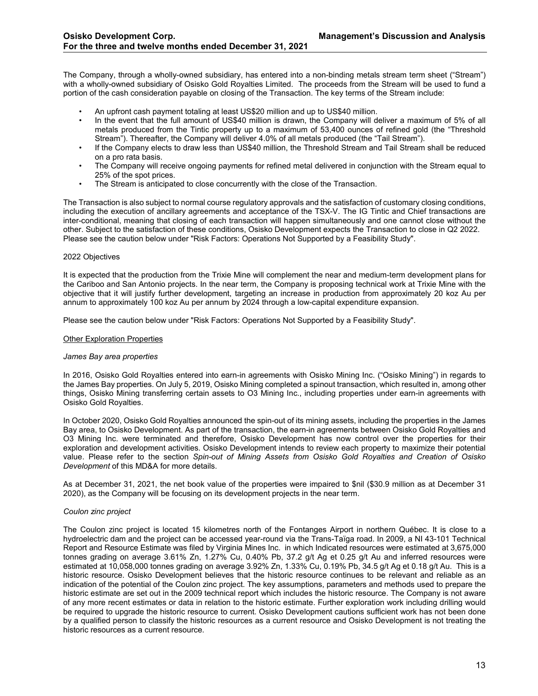The Company, through a wholly-owned subsidiary, has entered into a non-binding metals stream term sheet ("Stream") with a wholly-owned subsidiary of Osisko Gold Royalties Limited. The proceeds from the Stream will be used to fund a portion of the cash consideration payable on closing of the Transaction. The key terms of the Stream include:

- An upfront cash payment totaling at least US\$20 million and up to US\$40 million.
- In the event that the full amount of US\$40 million is drawn, the Company will deliver a maximum of 5% of all metals produced from the Tintic property up to a maximum of 53,400 ounces of refined gold (the "Threshold Stream"). Thereafter, the Company will deliver 4.0% of all metals produced (the "Tail Stream").
- If the Company elects to draw less than US\$40 million, the Threshold Stream and Tail Stream shall be reduced on a pro rata basis.
- The Company will receive ongoing payments for refined metal delivered in conjunction with the Stream equal to 25% of the spot prices.
- The Stream is anticipated to close concurrently with the close of the Transaction.

The Transaction is also subject to normal course regulatory approvals and the satisfaction of customary closing conditions, including the execution of ancillary agreements and acceptance of the TSX-V. The IG Tintic and Chief transactions are inter-conditional, meaning that closing of each transaction will happen simultaneously and one cannot close without the other. Subject to the satisfaction of these conditions, Osisko Development expects the Transaction to close in Q2 2022. Please see the caution below under "Risk Factors: Operations Not Supported by a Feasibility Study".

#### 2022 Objectives

It is expected that the production from the Trixie Mine will complement the near and medium-term development plans for the Cariboo and San Antonio projects. In the near term, the Company is proposing technical work at Trixie Mine with the objective that it will justify further development, targeting an increase in production from approximately 20 koz Au per annum to approximately 100 koz Au per annum by 2024 through a low-capital expenditure expansion.

Please see the caution below under "Risk Factors: Operations Not Supported by a Feasibility Study".

#### Other Exploration Properties

#### *James Bay area properties*

In 2016, Osisko Gold Royalties entered into earn-in agreements with Osisko Mining Inc. ("Osisko Mining") in regards to the James Bay properties. On July 5, 2019, Osisko Mining completed a spinout transaction, which resulted in, among other things, Osisko Mining transferring certain assets to O3 Mining Inc., including properties under earn-in agreements with Osisko Gold Royalties.

In October 2020, Osisko Gold Royalties announced the spin-out of its mining assets, including the properties in the James Bay area, to Osisko Development. As part of the transaction, the earn-in agreements between Osisko Gold Royalties and O3 Mining Inc. were terminated and therefore, Osisko Development has now control over the properties for their exploration and development activities. Osisko Development intends to review each property to maximize their potential value. Please refer to the section *Spin-out of Mining Assets from Osisko Gold Royalties and Creation of Osisko Development* of this MD&A for more details.

As at December 31, 2021, the net book value of the properties were impaired to \$nil (\$30.9 million as at December 31 2020), as the Company will be focusing on its development projects in the near term.

# *Coulon zinc project*

The Coulon zinc project is located 15 kilometres north of the Fontanges Airport in northern Québec. It is close to a hydroelectric dam and the project can be accessed year-round via the Trans-Taïga road. In 2009, a NI 43-101 Technical Report and Resource Estimate was filed by Virginia Mines Inc. in which Indicated resources were estimated at 3,675,000 tonnes grading on average 3.61% Zn, 1.27% Cu, 0.40% Pb, 37.2 g/t Ag et 0.25 g/t Au and inferred resources were estimated at 10,058,000 tonnes grading on average 3.92% Zn, 1.33% Cu, 0.19% Pb, 34.5 g/t Ag et 0.18 g/t Au. This is a historic resource. Osisko Development believes that the historic resource continues to be relevant and reliable as an indication of the potential of the Coulon zinc project. The key assumptions, parameters and methods used to prepare the historic estimate are set out in the 2009 technical report which includes the historic resource. The Company is not aware of any more recent estimates or data in relation to the historic estimate. Further exploration work including drilling would be required to upgrade the historic resource to current. Osisko Development cautions sufficient work has not been done by a qualified person to classify the historic resources as a current resource and Osisko Development is not treating the historic resources as a current resource.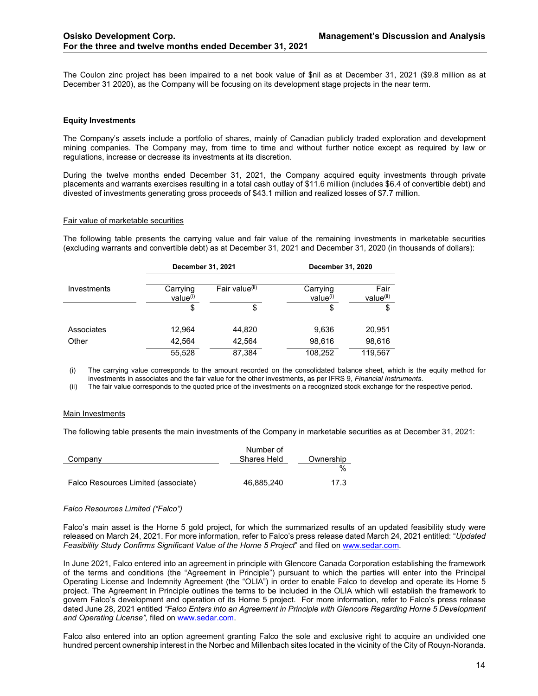The Coulon zinc project has been impaired to a net book value of \$nil as at December 31, 2021 (\$9.8 million as at December 31 2020), as the Company will be focusing on its development stage projects in the near term.

## <span id="page-13-0"></span>**Equity Investments**

The Company's assets include a portfolio of shares, mainly of Canadian publicly traded exploration and development mining companies. The Company may, from time to time and without further notice except as required by law or regulations, increase or decrease its investments at its discretion.

During the twelve months ended December 31, 2021, the Company acquired equity investments through private placements and warrants exercises resulting in a total cash outlay of \$11.6 million (includes \$6.4 of convertible debt) and divested of investments generating gross proceeds of \$43.1 million and realized losses of \$7.7 million.

#### Fair value of marketable securities

The following table presents the carrying value and fair value of the remaining investments in marketable securities (excluding warrants and convertible debt) as at December 31, 2021 and December 31, 2020 (in thousands of dollars):

|             | December 31, 2021                |                            | December 31, 2020 |                               |  |
|-------------|----------------------------------|----------------------------|-------------------|-------------------------------|--|
| Investments | Carrying<br>value <sup>(i)</sup> | Fair value <sup>(ii)</sup> |                   | Fair<br>value <sup>(ii)</sup> |  |
|             | \$                               | \$                         | \$                | \$                            |  |
| Associates  | 12,964                           | 44,820                     | 9,636             | 20,951                        |  |
| Other       | 42,564                           | 42,564                     | 98.616            | 98,616                        |  |
|             | 55,528                           | 87,384                     | 108,252           | 119,567                       |  |

(i) The carrying value corresponds to the amount recorded on the consolidated balance sheet, which is the equity method for investments in associates and the fair value for the other investments, as per IFRS 9, *Financial Instruments*.

(ii) The fair value corresponds to the quoted price of the investments on a recognized stock exchange for the respective period.

#### Main Investments

The following table presents the main investments of the Company in marketable securities as at December 31, 2021:

|                                     | Number of   |           |
|-------------------------------------|-------------|-----------|
| Company                             | Shares Held | Ownership |
|                                     |             | $\%$      |
| Falco Resources Limited (associate) | 46.885.240  | 17.3      |

#### *Falco Resources Limited ("Falco")*

Falco's main asset is the Horne 5 gold project, for which the summarized results of an updated feasibility study were released on March 24, 2021. For more information, refer to Falco's press release dated March 24, 2021 entitled: "*Updated Feasibility Study Confirms Significant Value of the Horne 5 Project*" and filed on [www.sedar.com.](http://www.sedar.com/)

In June 2021, Falco entered into an agreement in principle with Glencore Canada Corporation establishing the framework of the terms and conditions (the "Agreement in Principle") pursuant to which the parties will enter into the Principal Operating License and Indemnity Agreement (the "OLIA") in order to enable Falco to develop and operate its Horne 5 project. The Agreement in Principle outlines the terms to be included in the OLIA which will establish the framework to govern Falco's development and operation of its Horne 5 project. For more information, refer to Falco's press release dated June 28, 2021 entitled *"Falco Enters into an Agreement in Principle with Glencore Regarding Horne 5 Development and Operating License",* filed on [www.sedar.com.](http://www.sedar.com/)

Falco also entered into an option agreement granting Falco the sole and exclusive right to acquire an undivided one hundred percent ownership interest in the Norbec and Millenbach sites located in the vicinity of the City of Rouyn-Noranda.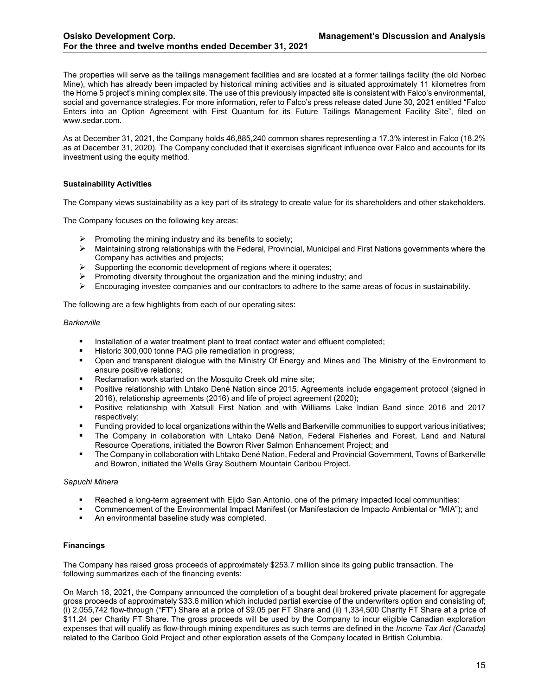The properties will serve as the tailings management facilities and are located at a former tailings facility (the old Norbec Mine), which has already been impacted by historical mining activities and is situated approximately 11 kilometres from the Horne 5 project's mining complex site. The use of this previously impacted site is consistent with Falco's environmental, social and governance strategies. For more information, refer to Falco's press release dated June 30, 2021 entitled "Falco Enters into an Option Agreement with First Quantum for its Future Tailings Management Facility Site", filed on www.sedar.com.

As at December 31, 2021, the Company holds 46,885,240 common shares representing a 17.3% interest in Falco (18.2% as at December 31, 2020). The Company concluded that it exercises significant influence over Falco and accounts for its investment using the equity method.

# <span id="page-14-0"></span>**Sustainability Activities**

The Company views sustainability as a key part of its strategy to create value for its shareholders and other stakeholders.

The Company focuses on the following key areas:

- $\triangleright$  Promoting the mining industry and its benefits to society:
- $\triangleright$  Maintaining strong relationships with the Federal, Provincial, Municipal and First Nations governments where the Company has activities and projects;
- $\triangleright$  Supporting the economic development of regions where it operates;
- $\triangleright$  Promoting diversity throughout the organization and the mining industry; and
- Encouraging investee companies and our contractors to adhere to the same areas of focus in sustainability.

The following are a few highlights from each of our operating sites:

#### *Barkerville*

- **Installation of a water treatment plant to treat contact water and effluent completed;**
- Historic 300,000 tonne PAG pile remediation in progress;
- Open and transparent dialogue with the Ministry Of Energy and Mines and The Ministry of the Environment to ensure positive relations;
- Reclamation work started on the Mosquito Creek old mine site;
- Positive relationship with Lhtako Dené Nation since 2015. Agreements include engagement protocol (signed in 2016), relationship agreements (2016) and life of project agreement (2020);
- Positive relationship with Xatsull First Nation and with Williams Lake Indian Band since 2016 and 2017 respectively;
- Funding provided to local organizations within the Wells and Barkerville communities to support various initiatives;
- The Company in collaboration with Lhtako Dené Nation, Federal Fisheries and Forest, Land and Natural Resource Operations, initiated the Bowron River Salmon Enhancement Project; and
- The Company in collaboration with Lhtako Dené Nation, Federal and Provincial Government, Towns of Barkerville and Bowron, initiated the Wells Gray Southern Mountain Caribou Project.

# *Sapuchi Minera*

- Reached a long-term agreement with Eijdo San Antonio, one of the primary impacted local communities:
- Commencement of the Environmental Impact Manifest (or Manifestacion de Impacto Ambiental or "MIA"); and
- An environmental baseline study was completed.

# <span id="page-14-1"></span>**Financings**

The Company has raised gross proceeds of approximately \$253.7 million since its going public transaction. The following summarizes each of the financing events:

On March 18, 2021, the Company announced the completion of a bought deal brokered private placement for aggregate gross proceeds of approximately \$33.6 million which included partial exercise of the underwriters option and consisting of; (i) 2,055,742 flow-through ("**FT**") Share at a price of \$9.05 per FT Share and (ii) 1,334,500 Charity FT Share at a price of \$11.24 per Charity FT Share. The gross proceeds will be used by the Company to incur eligible Canadian exploration expenses that will qualify as flow-through mining expenditures as such terms are defined in the *Income Tax Act (Canada)* related to the Cariboo Gold Project and other exploration assets of the Company located in British Columbia.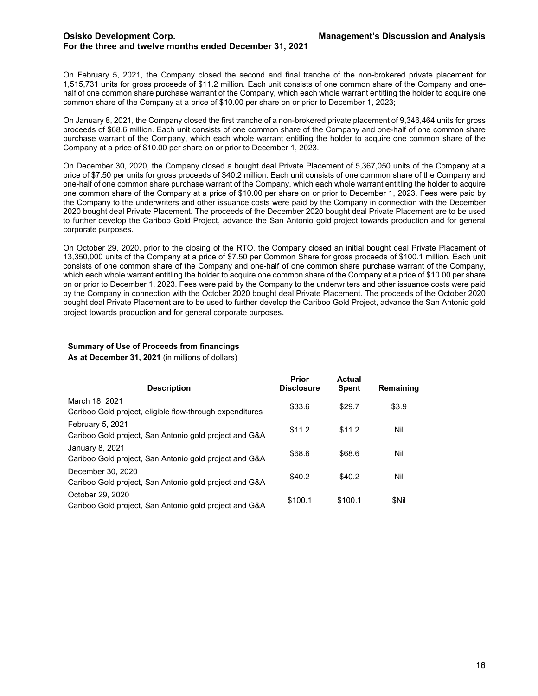On February 5, 2021, the Company closed the second and final tranche of the non-brokered private placement for 1,515,731 units for gross proceeds of \$11.2 million. Each unit consists of one common share of the Company and onehalf of one common share purchase warrant of the Company, which each whole warrant entitling the holder to acquire one common share of the Company at a price of \$10.00 per share on or prior to December 1, 2023;

On January 8, 2021, the Company closed the first tranche of a non-brokered private placement of 9,346,464 units for gross proceeds of \$68.6 million. Each unit consists of one common share of the Company and one-half of one common share purchase warrant of the Company, which each whole warrant entitling the holder to acquire one common share of the Company at a price of \$10.00 per share on or prior to December 1, 2023.

On December 30, 2020, the Company closed a bought deal Private Placement of 5,367,050 units of the Company at a price of \$7.50 per units for gross proceeds of \$40.2 million. Each unit consists of one common share of the Company and one-half of one common share purchase warrant of the Company, which each whole warrant entitling the holder to acquire one common share of the Company at a price of \$10.00 per share on or prior to December 1, 2023. Fees were paid by the Company to the underwriters and other issuance costs were paid by the Company in connection with the December 2020 bought deal Private Placement. The proceeds of the December 2020 bought deal Private Placement are to be used to further develop the Cariboo Gold Project, advance the San Antonio gold project towards production and for general corporate purposes.

On October 29, 2020, prior to the closing of the RTO, the Company closed an initial bought deal Private Placement of 13,350,000 units of the Company at a price of \$7.50 per Common Share for gross proceeds of \$100.1 million. Each unit consists of one common share of the Company and one-half of one common share purchase warrant of the Company, which each whole warrant entitling the holder to acquire one common share of the Company at a price of \$10.00 per share on or prior to December 1, 2023. Fees were paid by the Company to the underwriters and other issuance costs were paid by the Company in connection with the October 2020 bought deal Private Placement. The proceeds of the October 2020 bought deal Private Placement are to be used to further develop the Cariboo Gold Project, advance the San Antonio gold project towards production and for general corporate purposes.

# **Summary of Use of Proceeds from financings**

**As at December 31, 2021** (in millions of dollars)

| <b>Description</b>                                                          | Prior<br><b>Disclosure</b> | Actual<br><b>Spent</b> | Remaining |
|-----------------------------------------------------------------------------|----------------------------|------------------------|-----------|
| March 18, 2021<br>Cariboo Gold project, eligible flow-through expenditures  | \$33.6                     | \$29.7                 | \$3.9     |
| February 5, 2021<br>Cariboo Gold project, San Antonio gold project and G&A  | \$11.2                     | \$11.2                 | Nil       |
| January 8, 2021<br>Cariboo Gold project, San Antonio gold project and G&A   | \$68.6                     | \$68.6                 | Nil       |
| December 30, 2020<br>Cariboo Gold project, San Antonio gold project and G&A | \$40.2                     | \$40.2                 | Nil       |
| October 29, 2020<br>Cariboo Gold project, San Antonio gold project and G&A  | \$100.1                    | \$100.1                | \$Nil     |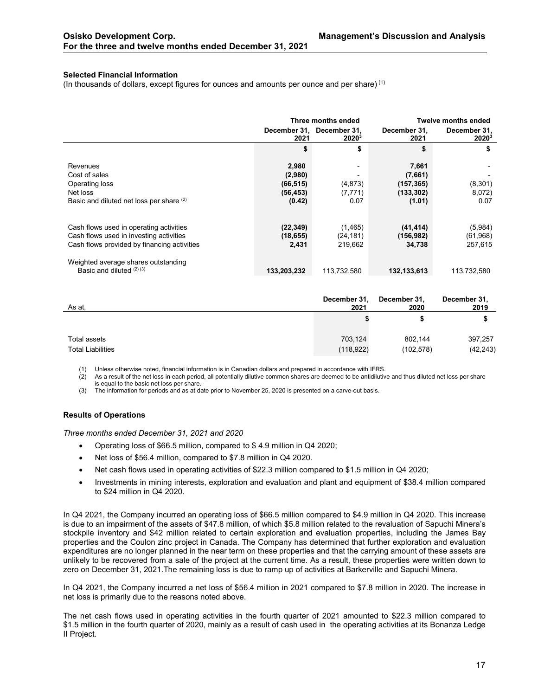#### <span id="page-16-0"></span>**Selected Financial Information**

(In thousands of dollars, except figures for ounces and amounts per ounce and per share) (1)

|                                                                                                                                   | Three months ended                                   |                                                       |                                                      | Twelve months ended             |
|-----------------------------------------------------------------------------------------------------------------------------------|------------------------------------------------------|-------------------------------------------------------|------------------------------------------------------|---------------------------------|
|                                                                                                                                   | 2021                                                 | December 31, December 31,<br><b>2020</b> <sup>3</sup> | December 31,<br>2021                                 | December 31,<br>$2020^3$        |
|                                                                                                                                   | \$                                                   | \$                                                    | \$                                                   | \$                              |
| Revenues<br>Cost of sales<br>Operating loss<br>Net loss<br>Basic and diluted net loss per share (2)                               | 2,980<br>(2,980)<br>(66, 515)<br>(56, 453)<br>(0.42) | (4, 873)<br>(7, 771)<br>0.07                          | 7,661<br>(7,661)<br>(157,365)<br>(133,302)<br>(1.01) | (8,301)<br>8,072)<br>0.07       |
| Cash flows used in operating activities<br>Cash flows used in investing activities<br>Cash flows provided by financing activities | (22, 349)<br>(18, 655)<br>2,431                      | (1, 465)<br>(24, 181)<br>219,662                      | (41, 414)<br>(156,982)<br>34,738                     | (5,984)<br>(61, 968)<br>257,615 |
| Weighted average shares outstanding<br>Basic and diluted $(2)(3)$                                                                 | 133,203,232                                          | 113,732,580                                           | 132, 133, 613                                        | 113,732,580                     |

| As at,                   | December 31, | December 31, | December 31, |
|--------------------------|--------------|--------------|--------------|
|                          | 2021         | 2020         | 2019         |
|                          |              |              |              |
| Total assets             | 703,124      | 802.144      | 397,257      |
| <b>Total Liabilities</b> | (118, 922)   | (102, 578)   | (42, 243)    |

(1) Unless otherwise noted, financial information is in Canadian dollars and prepared in accordance with IFRS.

 $(2)$  As a result of the net loss in each period, all potentially dilutive common shares are deemed to be antidilutive and thus diluted net loss per share is equal to the basic net loss per share.

(3) The information for periods and as at date prior to November 25, 2020 is presented on a carve-out basis.

#### <span id="page-16-1"></span>**Results of Operations**

*Three months ended December 31, 2021 and 2020*

- Operating loss of \$66.5 million, compared to \$ 4.9 million in Q4 2020;
- Net loss of \$56.4 million, compared to \$7.8 million in Q4 2020.
- Net cash flows used in operating activities of \$22.3 million compared to \$1.5 million in Q4 2020;
- Investments in mining interests, exploration and evaluation and plant and equipment of \$38.4 million compared to \$24 million in Q4 2020.

In Q4 2021, the Company incurred an operating loss of \$66.5 million compared to \$4.9 million in Q4 2020. This increase is due to an impairment of the assets of \$47.8 million, of which \$5.8 million related to the revaluation of Sapuchi Minera's stockpile inventory and \$42 million related to certain exploration and evaluation properties, including the James Bay properties and the Coulon zinc project in Canada. The Company has determined that further exploration and evaluation expenditures are no longer planned in the near term on these properties and that the carrying amount of these assets are unlikely to be recovered from a sale of the project at the current time. As a result, these properties were written down to zero on December 31, 2021.The remaining loss is due to ramp up of activities at Barkerville and Sapuchi Minera.

In Q4 2021, the Company incurred a net loss of \$56.4 million in 2021 compared to \$7.8 million in 2020. The increase in net loss is primarily due to the reasons noted above.

The net cash flows used in operating activities in the fourth quarter of 2021 amounted to \$22.3 million compared to \$1.5 million in the fourth quarter of 2020, mainly as a result of cash used in the operating activities at its Bonanza Ledge II Project.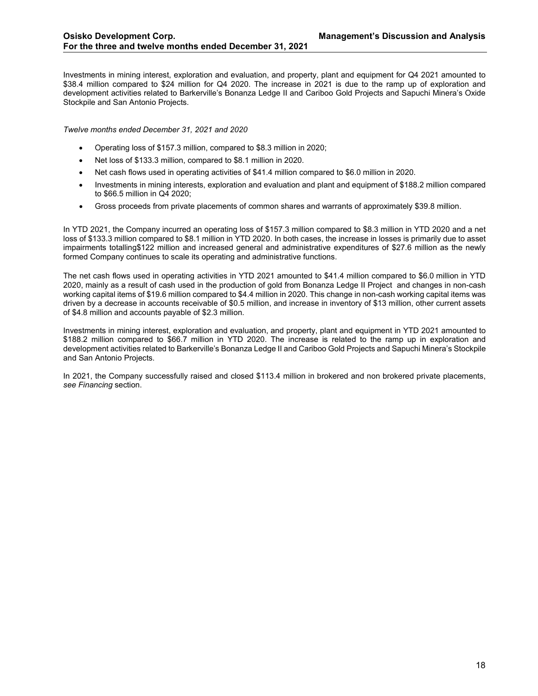Investments in mining interest, exploration and evaluation, and property, plant and equipment for Q4 2021 amounted to \$38.4 million compared to \$24 million for Q4 2020. The increase in 2021 is due to the ramp up of exploration and development activities related to Barkerville's Bonanza Ledge II and Cariboo Gold Projects and Sapuchi Minera's Oxide Stockpile and San Antonio Projects.

*Twelve months ended December 31, 2021 and 2020*

- Operating loss of \$157.3 million, compared to \$8.3 million in 2020;
- Net loss of \$133.3 million, compared to \$8.1 million in 2020.
- Net cash flows used in operating activities of \$41.4 million compared to \$6.0 million in 2020.
- Investments in mining interests, exploration and evaluation and plant and equipment of \$188.2 million compared to \$66.5 million in Q4 2020;
- Gross proceeds from private placements of common shares and warrants of approximately \$39.8 million.

In YTD 2021, the Company incurred an operating loss of \$157.3 million compared to \$8.3 million in YTD 2020 and a net loss of \$133.3 million compared to \$8.1 million in YTD 2020. In both cases, the increase in losses is primarily due to asset impairments totalling\$122 million and increased general and administrative expenditures of \$27.6 million as the newly formed Company continues to scale its operating and administrative functions.

The net cash flows used in operating activities in YTD 2021 amounted to \$41.4 million compared to \$6.0 million in YTD 2020, mainly as a result of cash used in the production of gold from Bonanza Ledge II Project and changes in non-cash working capital items of \$19.6 million compared to \$4.4 million in 2020. This change in non-cash working capital items was driven by a decrease in accounts receivable of \$0.5 million, and increase in inventory of \$13 million, other current assets of \$4.8 million and accounts payable of \$2.3 million.

Investments in mining interest, exploration and evaluation, and property, plant and equipment in YTD 2021 amounted to \$188.2 million compared to \$66.7 million in YTD 2020. The increase is related to the ramp up in exploration and development activities related to Barkerville's Bonanza Ledge II and Cariboo Gold Projects and Sapuchi Minera's Stockpile and San Antonio Projects.

In 2021, the Company successfully raised and closed \$113.4 million in brokered and non brokered private placements, *see Financing* section.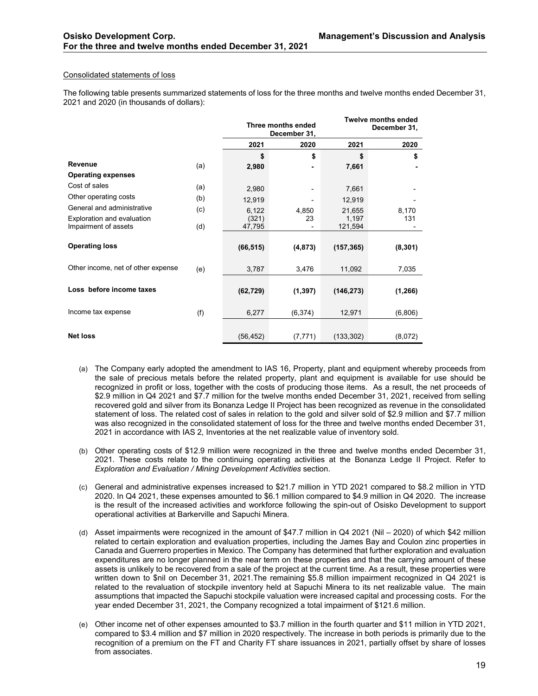#### Consolidated statements of loss

The following table presents summarized statements of loss for the three months and twelve months ended December 31, 2021 and 2020 (in thousands of dollars):

|                                                    |     | Three months ended<br>December 31, |          |                  | <b>Twelve months ended</b><br>December 31, |
|----------------------------------------------------|-----|------------------------------------|----------|------------------|--------------------------------------------|
|                                                    |     | 2021                               | 2020     | 2021             | 2020                                       |
|                                                    |     | \$                                 | \$       | \$               | \$                                         |
| Revenue                                            | (a) | 2,980                              | ٠        | 7,661            |                                            |
| <b>Operating expenses</b>                          |     |                                    |          |                  |                                            |
| Cost of sales                                      | (a) | 2,980                              |          | 7,661            |                                            |
| Other operating costs                              | (b) | 12,919                             |          | 12,919           |                                            |
| General and administrative                         | (c) | 6,122                              | 4,850    | 21,655           | 8,170                                      |
| Exploration and evaluation<br>Impairment of assets | (d) | (321)<br>47,795                    | 23       | 1,197<br>121,594 | 131                                        |
| <b>Operating loss</b>                              |     | (66, 515)                          | (4, 873) | (157, 365)       | (8, 301)                                   |
| Other income, net of other expense                 | (e) | 3,787                              | 3,476    | 11,092           | 7,035                                      |
| Loss before income taxes                           |     | (62, 729)                          | (1, 397) | (146, 273)       | (1, 266)                                   |
| Income tax expense                                 | (f) | 6,277                              | (6, 374) | 12,971           | (6,806)                                    |
| <b>Net loss</b>                                    |     | (56, 452)                          | (7, 771) | (133, 302)       | (8,072)                                    |

- (a) The Company early adopted the amendment to IAS 16, Property, plant and equipment whereby proceeds from the sale of precious metals before the related property, plant and equipment is available for use should be recognized in profit or loss, together with the costs of producing those items. As a result, the net proceeds of \$2.9 million in Q4 2021 and \$7.7 million for the twelve months ended December 31, 2021, received from selling recovered gold and silver from its Bonanza Ledge II Project has been recognized as revenue in the consolidated statement of loss. The related cost of sales in relation to the gold and silver sold of \$2.9 million and \$7.7 million was also recognized in the consolidated statement of loss for the three and twelve months ended December 31, 2021 in accordance with IAS 2, Inventories at the net realizable value of inventory sold.
- (b) Other operating costs of \$12.9 million were recognized in the three and twelve months ended December 31, 2021. These costs relate to the continuing operating activities at the Bonanza Ledge II Project. Refer to *Exploration and Evaluation / Mining Development Activities* section.
- (c) General and administrative expenses increased to \$21.7 million in YTD 2021 compared to \$8.2 million in YTD 2020. In Q4 2021, these expenses amounted to \$6.1 million compared to \$4.9 million in Q4 2020. The increase is the result of the increased activities and workforce following the spin-out of Osisko Development to support operational activities at Barkerville and Sapuchi Minera.
- (d) Asset impairments were recognized in the amount of \$47.7 million in Q4 2021 (Nil 2020) of which \$42 million related to certain exploration and evaluation properties, including the James Bay and Coulon zinc properties in Canada and Guerrero properties in Mexico. The Company has determined that further exploration and evaluation expenditures are no longer planned in the near term on these properties and that the carrying amount of these assets is unlikely to be recovered from a sale of the project at the current time. As a result, these properties were written down to \$nil on December 31, 2021.The remaining \$5.8 million impairment recognized in Q4 2021 is related to the revaluation of stockpile inventory held at Sapuchi Minera to its net realizable value. The main assumptions that impacted the Sapuchi stockpile valuation were increased capital and processing costs. For the year ended December 31, 2021, the Company recognized a total impairment of \$121.6 million.
- (e) Other income net of other expenses amounted to \$3.7 million in the fourth quarter and \$11 million in YTD 2021, compared to \$3.4 million and \$7 million in 2020 respectively. The increase in both periods is primarily due to the recognition of a premium on the FT and Charity FT share issuances in 2021, partially offset by share of losses from associates.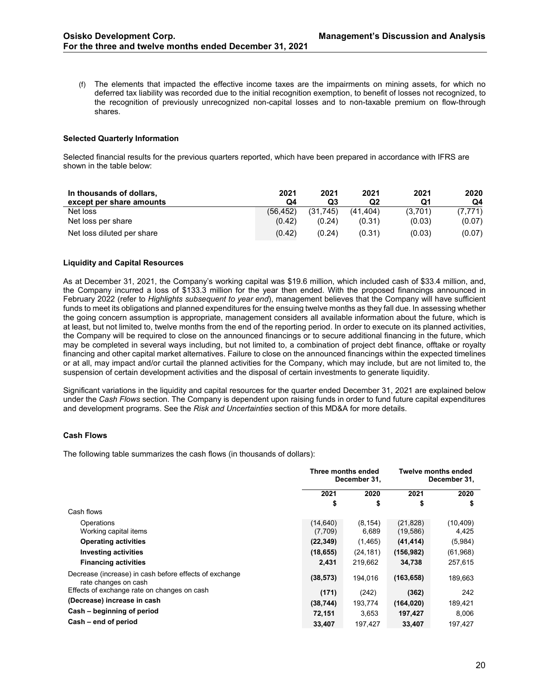(f) The elements that impacted the effective income taxes are the impairments on mining assets, for which no deferred tax liability was recorded due to the initial recognition exemption, to benefit of losses not recognized, to the recognition of previously unrecognized non-capital losses and to non-taxable premium on flow-through shares.

# <span id="page-19-0"></span>**Selected Quarterly Information**

Selected financial results for the previous quarters reported, which have been prepared in accordance with IFRS are shown in the table below:

| In thousands of dollars,   | 2021     | 2021     | 2021     | 2021    | 2020    |
|----------------------------|----------|----------|----------|---------|---------|
| except per share amounts   | Q4       | Q3       | Q2       | Q1      | Q4      |
| Net loss                   | (56.452) | (31.745) | (41.404) | (3.701) | (7,771) |
| Net loss per share         | (0.42)   | (0.24)   | (0.31)   | (0.03)  | (0.07)  |
| Net loss diluted per share | (0.42)   | (0.24)   | (0.31)   | (0.03)  | (0.07)  |

#### <span id="page-19-1"></span>**Liquidity and Capital Resources**

As at December 31, 2021, the Company's working capital was \$19.6 million, which included cash of \$33.4 million, and, the Company incurred a loss of \$133.3 million for the year then ended. With the proposed financings announced in February 2022 (refer to *Highlights subsequent to year end*), management believes that the Company will have sufficient funds to meet its obligations and planned expenditures for the ensuing twelve months as they fall due. In assessing whether the going concern assumption is appropriate, management considers all available information about the future, which is at least, but not limited to, twelve months from the end of the reporting period. In order to execute on its planned activities, the Company will be required to close on the announced financings or to secure additional financing in the future, which may be completed in several ways including, but not limited to, a combination of project debt finance, offtake or royalty financing and other capital market alternatives. Failure to close on the announced financings within the expected timelines or at all, may impact and/or curtail the planned activities for the Company, which may include, but are not limited to, the suspension of certain development activities and the disposal of certain investments to generate liquidity.

Significant variations in the liquidity and capital resources for the quarter ended December 31, 2021 are explained below under the *Cash Flows* section. The Company is dependent upon raising funds in order to fund future capital expenditures and development programs. See the *Risk and Uncertainties* section of this MD&A for more details.

# <span id="page-19-2"></span>**Cash Flows**

The following table summarizes the cash flows (in thousands of dollars):

|                                                                                | Three months ended<br>December 31, |           | <b>Twelve months ended</b><br>December 31, |           |
|--------------------------------------------------------------------------------|------------------------------------|-----------|--------------------------------------------|-----------|
|                                                                                | 2021                               | 2020      | 2021                                       | 2020      |
|                                                                                | \$                                 | \$        | \$                                         | \$        |
| Cash flows                                                                     |                                    |           |                                            |           |
| Operations                                                                     | (14, 640)                          | (8, 154)  | (21, 828)                                  | (10, 409) |
| Working capital items                                                          | (7,709)                            | 6,689     | (19, 586)                                  | 4,425     |
| <b>Operating activities</b>                                                    | (22, 349)                          | (1, 465)  | (41, 414)                                  | (5,984)   |
| <b>Investing activities</b>                                                    | (18, 655)                          | (24, 181) | (156, 982)                                 | (61,968)  |
| <b>Financing activities</b>                                                    | 2,431                              | 219.662   | 34,738                                     | 257,615   |
| Decrease (increase) in cash before effects of exchange<br>rate changes on cash | (38, 573)                          | 194.016   | (163, 658)                                 | 189,663   |
| Effects of exchange rate on changes on cash                                    | (171)                              | (242)     | (362)                                      | 242       |
| (Decrease) increase in cash                                                    | (38, 744)                          | 193.774   | (164, 020)                                 | 189,421   |
| Cash - beginning of period                                                     | 72,151                             | 3,653     | 197,427                                    | 8,006     |
| Cash – end of period                                                           | 33,407                             | 197,427   | 33,407                                     | 197,427   |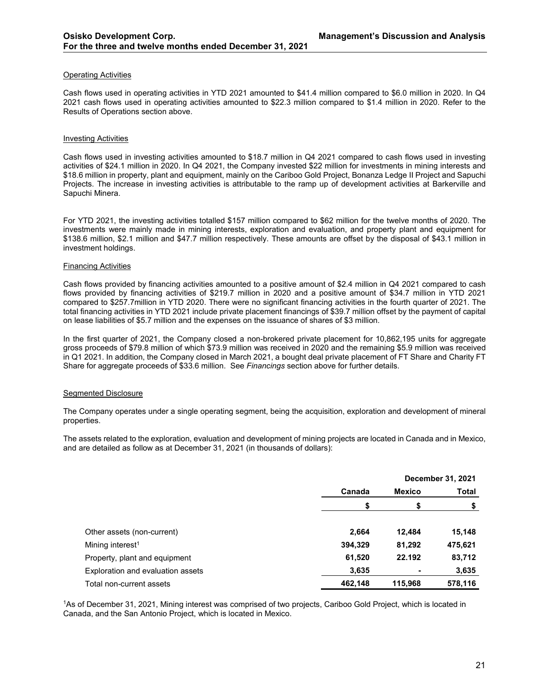#### Operating Activities

Cash flows used in operating activities in YTD 2021 amounted to \$41.4 million compared to \$6.0 million in 2020. In Q4 2021 cash flows used in operating activities amounted to \$22.3 million compared to \$1.4 million in 2020. Refer to the Results of Operations section above.

#### Investing Activities

Cash flows used in investing activities amounted to \$18.7 million in Q4 2021 compared to cash flows used in investing activities of \$24.1 million in 2020. In Q4 2021, the Company invested \$22 million for investments in mining interests and \$18.6 million in property, plant and equipment, mainly on the Cariboo Gold Project, Bonanza Ledge II Project and Sapuchi Projects. The increase in investing activities is attributable to the ramp up of development activities at Barkerville and Sapuchi Minera.

For YTD 2021, the investing activities totalled \$157 million compared to \$62 million for the twelve months of 2020. The investments were mainly made in mining interests, exploration and evaluation, and property plant and equipment for \$138.6 million, \$2.1 million and \$47.7 million respectively. These amounts are offset by the disposal of \$43.1 million in investment holdings.

#### Financing Activities

Cash flows provided by financing activities amounted to a positive amount of \$2.4 million in Q4 2021 compared to cash flows provided by financing activities of \$219.7 million in 2020 and a positive amount of \$34.7 million in YTD 2021 compared to \$257.7million in YTD 2020. There were no significant financing activities in the fourth quarter of 2021. The total financing activities in YTD 2021 include private placement financings of \$39.7 million offset by the payment of capital on lease liabilities of \$5.7 million and the expenses on the issuance of shares of \$3 million.

In the first quarter of 2021, the Company closed a non-brokered private placement for 10,862,195 units for aggregate gross proceeds of \$79.8 million of which \$73.9 million was received in 2020 and the remaining \$5.9 million was received in Q1 2021. In addition, the Company closed in March 2021, a bought deal private placement of FT Share and Charity FT Share for aggregate proceeds of \$33.6 million. See *Financings* section above for further details.

#### Segmented Disclosure

The Company operates under a single operating segment, being the acquisition, exploration and development of mineral properties.

The assets related to the exploration, evaluation and development of mining projects are located in Canada and in Mexico, and are detailed as follow as at December 31, 2021 (in thousands of dollars):

|                                   | December 31, 2021       |         |         |
|-----------------------------------|-------------------------|---------|---------|
|                                   | Canada<br><b>Mexico</b> |         | Total   |
|                                   | \$                      | \$      | \$      |
| Other assets (non-current)        | 2,664                   | 12.484  | 15,148  |
| Mining interest <sup>1</sup>      | 394,329                 | 81,292  | 475,621 |
| Property, plant and equipment     | 61,520                  | 22.192  | 83,712  |
| Exploration and evaluation assets | 3,635                   | -       | 3,635   |
| Total non-current assets          | 462,148                 | 115,968 | 578,116 |

1As of December 31, 2021, Mining interest was comprised of two projects, Cariboo Gold Project, which is located in Canada, and the San Antonio Project, which is located in Mexico.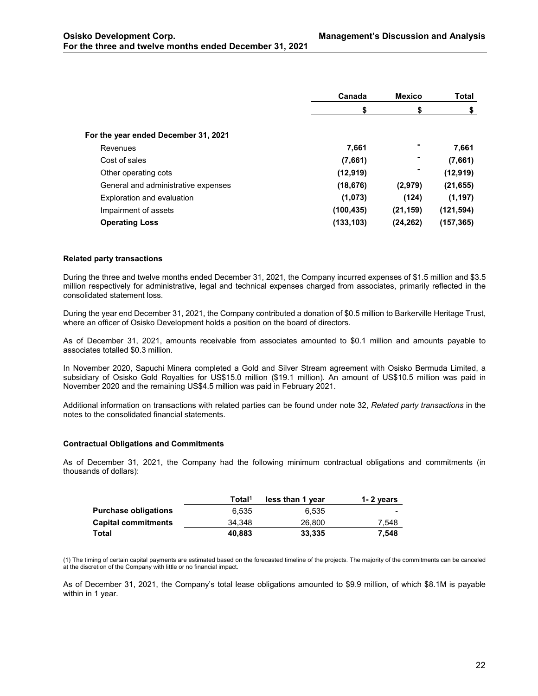|                                      | Canada     | <b>Mexico</b>  | Total      |
|--------------------------------------|------------|----------------|------------|
|                                      | S          | \$             | \$         |
| For the year ended December 31, 2021 |            |                |            |
| Revenues                             | 7,661      | $\blacksquare$ | 7,661      |
| Cost of sales                        | (7,661)    |                | (7,661)    |
| Other operating cots                 | (12, 919)  |                | (12, 919)  |
| General and administrative expenses  | (18, 676)  | (2,979)        | (21, 655)  |
| Exploration and evaluation           | (1,073)    | (124)          | (1, 197)   |
| Impairment of assets                 | (100, 435) | (21, 159)      | (121, 594) |
| <b>Operating Loss</b>                | (133, 103) | (24, 262)      | (157, 365) |

# <span id="page-21-0"></span>**Related party transactions**

During the three and twelve months ended December 31, 2021, the Company incurred expenses of \$1.5 million and \$3.5 million respectively for administrative, legal and technical expenses charged from associates, primarily reflected in the consolidated statement loss.

During the year end December 31, 2021, the Company contributed a donation of \$0.5 million to Barkerville Heritage Trust, where an officer of Osisko Development holds a position on the board of directors.

As of December 31, 2021, amounts receivable from associates amounted to \$0.1 million and amounts payable to associates totalled \$0.3 million.

In November 2020, Sapuchi Minera completed a Gold and Silver Stream agreement with Osisko Bermuda Limited, a subsidiary of Osisko Gold Royalties for US\$15.0 million (\$19.1 million). An amount of US\$10.5 million was paid in November 2020 and the remaining US\$4.5 million was paid in February 2021.

Additional information on transactions with related parties can be found under note 32, *Related party transactions* in the notes to the consolidated financial statements.

# <span id="page-21-1"></span>**Contractual Obligations and Commitments**

As of December 31, 2021, the Company had the following minimum contractual obligations and commitments (in thousands of dollars):

|                      | Total <sup>1</sup> | less than 1 year | 1-2 years                |
|----------------------|--------------------|------------------|--------------------------|
| Purchase obligations | 6.535              | 6.535            | $\overline{\phantom{a}}$ |
| Capital commitments  | 34.348             | 26,800           | 7.548                    |
| Total                | 40.883             | 33.335           | 7.548                    |

(1) The timing of certain capital payments are estimated based on the forecasted timeline of the projects. The majority of the commitments can be canceled at the discretion of the Company with little or no financial impact.

As of December 31, 2021, the Company's total lease obligations amounted to \$9.9 million, of which \$8.1M is payable within in 1 year.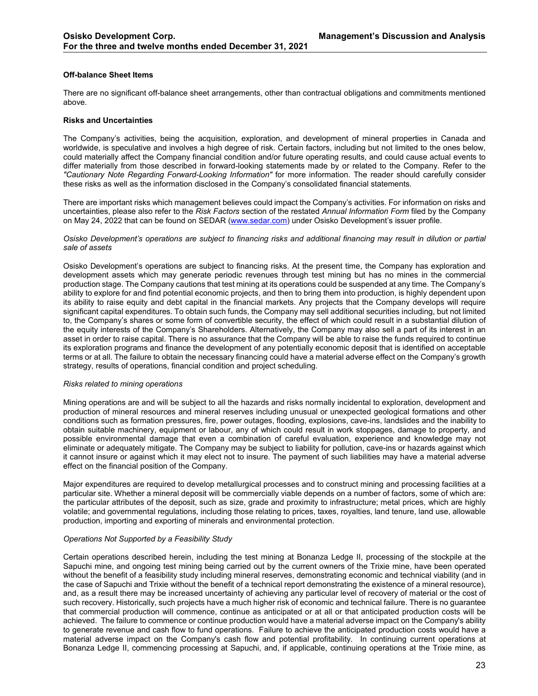# <span id="page-22-0"></span>**Off-balance Sheet Items**

There are no significant off-balance sheet arrangements, other than contractual obligations and commitments mentioned above.

#### <span id="page-22-1"></span>**Risks and Uncertainties**

The Company's activities, being the acquisition, exploration, and development of mineral properties in Canada and worldwide, is speculative and involves a high degree of risk. Certain factors, including but not limited to the ones below, could materially affect the Company financial condition and/or future operating results, and could cause actual events to differ materially from those described in forward-looking statements made by or related to the Company. Refer to the *"Cautionary Note Regarding Forward-Looking Information"* for more information. The reader should carefully consider these risks as well as the information disclosed in the Company's consolidated financial statements.

There are important risks which management believes could impact the Company's activities. For information on risks and uncertainties, please also refer to the *Risk Factors* section of the restated *Annual Information Form* filed by the Company on May 24, 2022 that can be found on SEDAR [\(www.sedar.com\)](http://www.sedar.com/) under Osisko Development's issuer profile.

#### *Osisko Development's operations are subject to financing risks and additional financing may result in dilution or partial sale of assets*

Osisko Development's operations are subject to financing risks. At the present time, the Company has exploration and development assets which may generate periodic revenues through test mining but has no mines in the commercial production stage. The Company cautions that test mining at its operations could be suspended at any time. The Company's ability to explore for and find potential economic projects, and then to bring them into production, is highly dependent upon its ability to raise equity and debt capital in the financial markets. Any projects that the Company develops will require significant capital expenditures. To obtain such funds, the Company may sell additional securities including, but not limited to, the Company's shares or some form of convertible security, the effect of which could result in a substantial dilution of the equity interests of the Company's Shareholders. Alternatively, the Company may also sell a part of its interest in an asset in order to raise capital. There is no assurance that the Company will be able to raise the funds required to continue its exploration programs and finance the development of any potentially economic deposit that is identified on acceptable terms or at all. The failure to obtain the necessary financing could have a material adverse effect on the Company's growth strategy, results of operations, financial condition and project scheduling.

#### *Risks related to mining operations*

Mining operations are and will be subject to all the hazards and risks normally incidental to exploration, development and production of mineral resources and mineral reserves including unusual or unexpected geological formations and other conditions such as formation pressures, fire, power outages, flooding, explosions, cave-ins, landslides and the inability to obtain suitable machinery, equipment or labour, any of which could result in work stoppages, damage to property, and possible environmental damage that even a combination of careful evaluation, experience and knowledge may not eliminate or adequately mitigate. The Company may be subject to liability for pollution, cave-ins or hazards against which it cannot insure or against which it may elect not to insure. The payment of such liabilities may have a material adverse effect on the financial position of the Company.

Major expenditures are required to develop metallurgical processes and to construct mining and processing facilities at a particular site. Whether a mineral deposit will be commercially viable depends on a number of factors, some of which are: the particular attributes of the deposit, such as size, grade and proximity to infrastructure; metal prices, which are highly volatile; and governmental regulations, including those relating to prices, taxes, royalties, land tenure, land use, allowable production, importing and exporting of minerals and environmental protection.

#### *Operations Not Supported by a Feasibility Study*

Certain operations described herein, including the test mining at Bonanza Ledge II, processing of the stockpile at the Sapuchi mine, and ongoing test mining being carried out by the current owners of the Trixie mine, have been operated without the benefit of a feasibility study including mineral reserves, demonstrating economic and technical viability (and in the case of Sapuchi and Trixie without the benefit of a technical report demonstrating the existence of a mineral resource), and, as a result there may be increased uncertainty of achieving any particular level of recovery of material or the cost of such recovery. Historically, such projects have a much higher risk of economic and technical failure. There is no guarantee that commercial production will commence, continue as anticipated or at all or that anticipated production costs will be achieved. The failure to commence or continue production would have a material adverse impact on the Company's ability to generate revenue and cash flow to fund operations. Failure to achieve the anticipated production costs would have a material adverse impact on the Company's cash flow and potential profitability. In continuing current operations at Bonanza Ledge II, commencing processing at Sapuchi, and, if applicable, continuing operations at the Trixie mine, as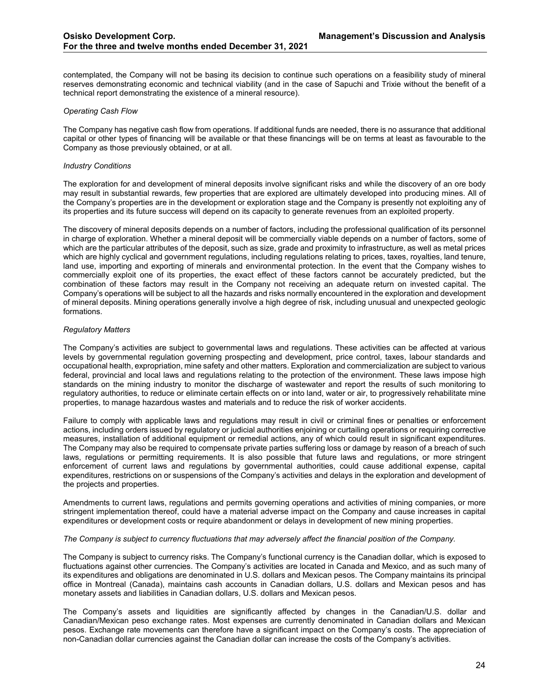contemplated, the Company will not be basing its decision to continue such operations on a feasibility study of mineral reserves demonstrating economic and technical viability (and in the case of Sapuchi and Trixie without the benefit of a technical report demonstrating the existence of a mineral resource).

## *Operating Cash Flow*

The Company has negative cash flow from operations. If additional funds are needed, there is no assurance that additional capital or other types of financing will be available or that these financings will be on terms at least as favourable to the Company as those previously obtained, or at all.

#### *Industry Conditions*

The exploration for and development of mineral deposits involve significant risks and while the discovery of an ore body may result in substantial rewards, few properties that are explored are ultimately developed into producing mines. All of the Company's properties are in the development or exploration stage and the Company is presently not exploiting any of its properties and its future success will depend on its capacity to generate revenues from an exploited property.

The discovery of mineral deposits depends on a number of factors, including the professional qualification of its personnel in charge of exploration. Whether a mineral deposit will be commercially viable depends on a number of factors, some of which are the particular attributes of the deposit, such as size, grade and proximity to infrastructure, as well as metal prices which are highly cyclical and government regulations, including regulations relating to prices, taxes, royalties, land tenure, land use, importing and exporting of minerals and environmental protection. In the event that the Company wishes to commercially exploit one of its properties, the exact effect of these factors cannot be accurately predicted, but the combination of these factors may result in the Company not receiving an adequate return on invested capital. The Company's operations will be subject to all the hazards and risks normally encountered in the exploration and development of mineral deposits. Mining operations generally involve a high degree of risk, including unusual and unexpected geologic formations.

#### *Regulatory Matters*

The Company's activities are subject to governmental laws and regulations. These activities can be affected at various levels by governmental regulation governing prospecting and development, price control, taxes, labour standards and occupational health, expropriation, mine safety and other matters. Exploration and commercialization are subject to various federal, provincial and local laws and regulations relating to the protection of the environment. These laws impose high standards on the mining industry to monitor the discharge of wastewater and report the results of such monitoring to regulatory authorities, to reduce or eliminate certain effects on or into land, water or air, to progressively rehabilitate mine properties, to manage hazardous wastes and materials and to reduce the risk of worker accidents.

Failure to comply with applicable laws and regulations may result in civil or criminal fines or penalties or enforcement actions, including orders issued by regulatory or judicial authorities enjoining or curtailing operations or requiring corrective measures, installation of additional equipment or remedial actions, any of which could result in significant expenditures. The Company may also be required to compensate private parties suffering loss or damage by reason of a breach of such laws, regulations or permitting requirements. It is also possible that future laws and regulations, or more stringent enforcement of current laws and regulations by governmental authorities, could cause additional expense, capital expenditures, restrictions on or suspensions of the Company's activities and delays in the exploration and development of the projects and properties.

Amendments to current laws, regulations and permits governing operations and activities of mining companies, or more stringent implementation thereof, could have a material adverse impact on the Company and cause increases in capital expenditures or development costs or require abandonment or delays in development of new mining properties.

#### *The Company is subject to currency fluctuations that may adversely affect the financial position of the Company.*

The Company is subject to currency risks. The Company's functional currency is the Canadian dollar, which is exposed to fluctuations against other currencies. The Company's activities are located in Canada and Mexico, and as such many of its expenditures and obligations are denominated in U.S. dollars and Mexican pesos. The Company maintains its principal office in Montreal (Canada), maintains cash accounts in Canadian dollars, U.S. dollars and Mexican pesos and has monetary assets and liabilities in Canadian dollars, U.S. dollars and Mexican pesos.

The Company's assets and liquidities are significantly affected by changes in the Canadian/U.S. dollar and Canadian/Mexican peso exchange rates. Most expenses are currently denominated in Canadian dollars and Mexican pesos. Exchange rate movements can therefore have a significant impact on the Company's costs. The appreciation of non-Canadian dollar currencies against the Canadian dollar can increase the costs of the Company's activities.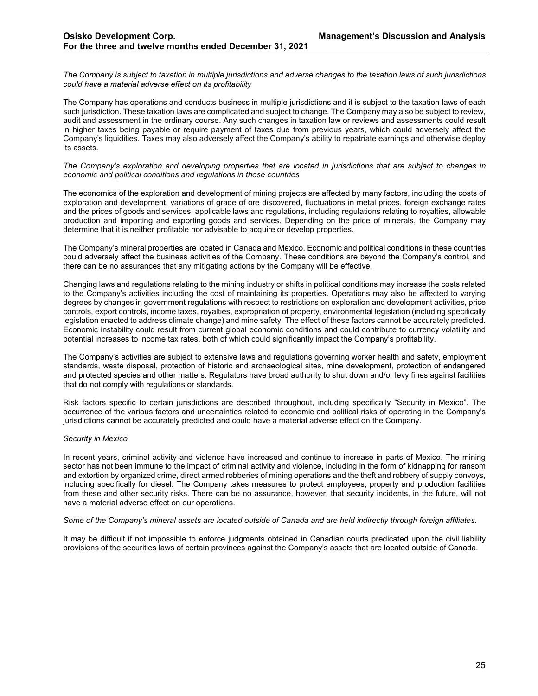*The Company is subject to taxation in multiple jurisdictions and adverse changes to the taxation laws of such jurisdictions could have a material adverse effect on its profitability*

The Company has operations and conducts business in multiple jurisdictions and it is subject to the taxation laws of each such jurisdiction. These taxation laws are complicated and subject to change. The Company may also be subject to review, audit and assessment in the ordinary course. Any such changes in taxation law or reviews and assessments could result in higher taxes being payable or require payment of taxes due from previous years, which could adversely affect the Company's liquidities. Taxes may also adversely affect the Company's ability to repatriate earnings and otherwise deploy its assets.

#### *The Company's exploration and developing properties that are located in jurisdictions that are subject to changes in economic and political conditions and regulations in those countries*

The economics of the exploration and development of mining projects are affected by many factors, including the costs of exploration and development, variations of grade of ore discovered, fluctuations in metal prices, foreign exchange rates and the prices of goods and services, applicable laws and regulations, including regulations relating to royalties, allowable production and importing and exporting goods and services. Depending on the price of minerals, the Company may determine that it is neither profitable nor advisable to acquire or develop properties.

The Company's mineral properties are located in Canada and Mexico. Economic and political conditions in these countries could adversely affect the business activities of the Company. These conditions are beyond the Company's control, and there can be no assurances that any mitigating actions by the Company will be effective.

Changing laws and regulations relating to the mining industry or shifts in political conditions may increase the costs related to the Company's activities including the cost of maintaining its properties. Operations may also be affected to varying degrees by changes in government regulations with respect to restrictions on exploration and development activities, price controls, export controls, income taxes, royalties, expropriation of property, environmental legislation (including specifically legislation enacted to address climate change) and mine safety. The effect of these factors cannot be accurately predicted. Economic instability could result from current global economic conditions and could contribute to currency volatility and potential increases to income tax rates, both of which could significantly impact the Company's profitability.

The Company's activities are subject to extensive laws and regulations governing worker health and safety, employment standards, waste disposal, protection of historic and archaeological sites, mine development, protection of endangered and protected species and other matters. Regulators have broad authority to shut down and/or levy fines against facilities that do not comply with regulations or standards.

Risk factors specific to certain jurisdictions are described throughout, including specifically "Security in Mexico". The occurrence of the various factors and uncertainties related to economic and political risks of operating in the Company's jurisdictions cannot be accurately predicted and could have a material adverse effect on the Company.

# *Security in Mexico*

In recent years, criminal activity and violence have increased and continue to increase in parts of Mexico. The mining sector has not been immune to the impact of criminal activity and violence, including in the form of kidnapping for ransom and extortion by organized crime, direct armed robberies of mining operations and the theft and robbery of supply convoys, including specifically for diesel. The Company takes measures to protect employees, property and production facilities from these and other security risks. There can be no assurance, however, that security incidents, in the future, will not have a material adverse effect on our operations.

#### *Some of the Company's mineral assets are located outside of Canada and are held indirectly through foreign affiliates.*

It may be difficult if not impossible to enforce judgments obtained in Canadian courts predicated upon the civil liability provisions of the securities laws of certain provinces against the Company's assets that are located outside of Canada.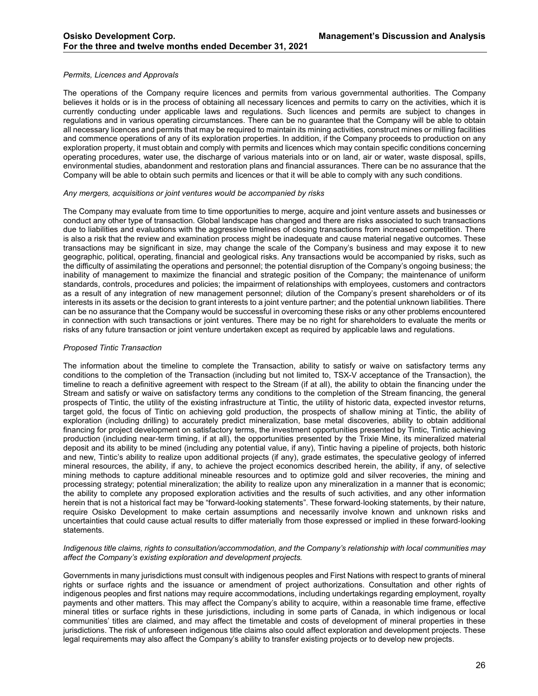#### *Permits, Licences and Approvals*

The operations of the Company require licences and permits from various governmental authorities. The Company believes it holds or is in the process of obtaining all necessary licences and permits to carry on the activities, which it is currently conducting under applicable laws and regulations. Such licences and permits are subject to changes in regulations and in various operating circumstances. There can be no guarantee that the Company will be able to obtain all necessary licences and permits that may be required to maintain its mining activities, construct mines or milling facilities and commence operations of any of its exploration properties. In addition, if the Company proceeds to production on any exploration property, it must obtain and comply with permits and licences which may contain specific conditions concerning operating procedures, water use, the discharge of various materials into or on land, air or water, waste disposal, spills, environmental studies, abandonment and restoration plans and financial assurances. There can be no assurance that the Company will be able to obtain such permits and licences or that it will be able to comply with any such conditions.

#### *Any mergers, acquisitions or joint ventures would be accompanied by risks*

The Company may evaluate from time to time opportunities to merge, acquire and joint venture assets and businesses or conduct any other type of transaction. Global landscape has changed and there are risks associated to such transactions due to liabilities and evaluations with the aggressive timelines of closing transactions from increased competition. There is also a risk that the review and examination process might be inadequate and cause material negative outcomes. These transactions may be significant in size, may change the scale of the Company's business and may expose it to new geographic, political, operating, financial and geological risks. Any transactions would be accompanied by risks, such as the difficulty of assimilating the operations and personnel; the potential disruption of the Company's ongoing business; the inability of management to maximize the financial and strategic position of the Company; the maintenance of uniform standards, controls, procedures and policies; the impairment of relationships with employees, customers and contractors as a result of any integration of new management personnel; dilution of the Company's present shareholders or of its interests in its assets or the decision to grant interests to a joint venture partner; and the potential unknown liabilities. There can be no assurance that the Company would be successful in overcoming these risks or any other problems encountered in connection with such transactions or joint ventures. There may be no right for shareholders to evaluate the merits or risks of any future transaction or joint venture undertaken except as required by applicable laws and regulations.

#### *Proposed Tintic Transaction*

The information about the timeline to complete the Transaction, ability to satisfy or waive on satisfactory terms any conditions to the completion of the Transaction (including but not limited to, TSX-V acceptance of the Transaction), the timeline to reach a definitive agreement with respect to the Stream (if at all), the ability to obtain the financing under the Stream and satisfy or waive on satisfactory terms any conditions to the completion of the Stream financing, the general prospects of Tintic, the utility of the existing infrastructure at Tintic, the utility of historic data, expected investor returns, target gold, the focus of Tintic on achieving gold production, the prospects of shallow mining at Tintic, the ability of exploration (including drilling) to accurately predict mineralization, base metal discoveries, ability to obtain additional financing for project development on satisfactory terms, the investment opportunities presented by Tintic, Tintic achieving production (including near-term timing, if at all), the opportunities presented by the Trixie Mine, its mineralized material deposit and its ability to be mined (including any potential value, if any), Tintic having a pipeline of projects, both historic and new, Tintic's ability to realize upon additional projects (if any), grade estimates, the speculative geology of inferred mineral resources, the ability, if any, to achieve the project economics described herein, the ability, if any, of selective mining methods to capture additional mineable resources and to optimize gold and silver recoveries, the mining and processing strategy; potential mineralization; the ability to realize upon any mineralization in a manner that is economic; the ability to complete any proposed exploration activities and the results of such activities, and any other information herein that is not a historical fact may be "forward-looking statements". These forward-looking statements, by their nature, require Osisko Development to make certain assumptions and necessarily involve known and unknown risks and uncertainties that could cause actual results to differ materially from those expressed or implied in these forward‐looking statements.

#### *Indigenous title claims, rights to consultation/accommodation, and the Company's relationship with local communities may affect the Company's existing exploration and development projects.*

Governments in many jurisdictions must consult with indigenous peoples and First Nations with respect to grants of mineral rights or surface rights and the issuance or amendment of project authorizations. Consultation and other rights of indigenous peoples and first nations may require accommodations, including undertakings regarding employment, royalty payments and other matters. This may affect the Company's ability to acquire, within a reasonable time frame, effective mineral titles or surface rights in these jurisdictions, including in some parts of Canada, in which indigenous or local communities' titles are claimed, and may affect the timetable and costs of development of mineral properties in these jurisdictions. The risk of unforeseen indigenous title claims also could affect exploration and development projects. These legal requirements may also affect the Company's ability to transfer existing projects or to develop new projects.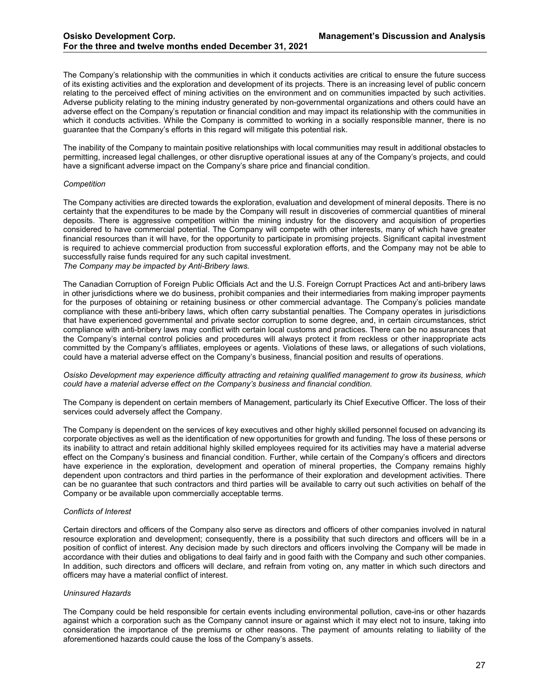The Company's relationship with the communities in which it conducts activities are critical to ensure the future success of its existing activities and the exploration and development of its projects. There is an increasing level of public concern relating to the perceived effect of mining activities on the environment and on communities impacted by such activities. Adverse publicity relating to the mining industry generated by non-governmental organizations and others could have an adverse effect on the Company's reputation or financial condition and may impact its relationship with the communities in which it conducts activities. While the Company is committed to working in a socially responsible manner, there is no guarantee that the Company's efforts in this regard will mitigate this potential risk.

The inability of the Company to maintain positive relationships with local communities may result in additional obstacles to permitting, increased legal challenges, or other disruptive operational issues at any of the Company's projects, and could have a significant adverse impact on the Company's share price and financial condition.

#### *Competition*

The Company activities are directed towards the exploration, evaluation and development of mineral deposits. There is no certainty that the expenditures to be made by the Company will result in discoveries of commercial quantities of mineral deposits. There is aggressive competition within the mining industry for the discovery and acquisition of properties considered to have commercial potential. The Company will compete with other interests, many of which have greater financial resources than it will have, for the opportunity to participate in promising projects. Significant capital investment is required to achieve commercial production from successful exploration efforts, and the Company may not be able to successfully raise funds required for any such capital investment. *The Company may be impacted by Anti-Bribery laws.*

The Canadian Corruption of Foreign Public Officials Act and the U.S. Foreign Corrupt Practices Act and anti-bribery laws in other jurisdictions where we do business, prohibit companies and their intermediaries from making improper payments for the purposes of obtaining or retaining business or other commercial advantage. The Company's policies mandate compliance with these anti-bribery laws, which often carry substantial penalties. The Company operates in jurisdictions that have experienced governmental and private sector corruption to some degree, and, in certain circumstances, strict compliance with anti-bribery laws may conflict with certain local customs and practices. There can be no assurances that the Company's internal control policies and procedures will always protect it from reckless or other inappropriate acts committed by the Company's affiliates, employees or agents. Violations of these laws, or allegations of such violations, could have a material adverse effect on the Company's business, financial position and results of operations.

*Osisko Development may experience difficulty attracting and retaining qualified management to grow its business, which could have a material adverse effect on the Company's business and financial condition.*

The Company is dependent on certain members of Management, particularly its Chief Executive Officer. The loss of their services could adversely affect the Company.

The Company is dependent on the services of key executives and other highly skilled personnel focused on advancing its corporate objectives as well as the identification of new opportunities for growth and funding. The loss of these persons or its inability to attract and retain additional highly skilled employees required for its activities may have a material adverse effect on the Company's business and financial condition. Further, while certain of the Company's officers and directors have experience in the exploration, development and operation of mineral properties, the Company remains highly dependent upon contractors and third parties in the performance of their exploration and development activities. There can be no guarantee that such contractors and third parties will be available to carry out such activities on behalf of the Company or be available upon commercially acceptable terms.

#### *Conflicts of Interest*

Certain directors and officers of the Company also serve as directors and officers of other companies involved in natural resource exploration and development; consequently, there is a possibility that such directors and officers will be in a position of conflict of interest. Any decision made by such directors and officers involving the Company will be made in accordance with their duties and obligations to deal fairly and in good faith with the Company and such other companies. In addition, such directors and officers will declare, and refrain from voting on, any matter in which such directors and officers may have a material conflict of interest.

#### *Uninsured Hazards*

The Company could be held responsible for certain events including environmental pollution, cave-ins or other hazards against which a corporation such as the Company cannot insure or against which it may elect not to insure, taking into consideration the importance of the premiums or other reasons. The payment of amounts relating to liability of the aforementioned hazards could cause the loss of the Company's assets.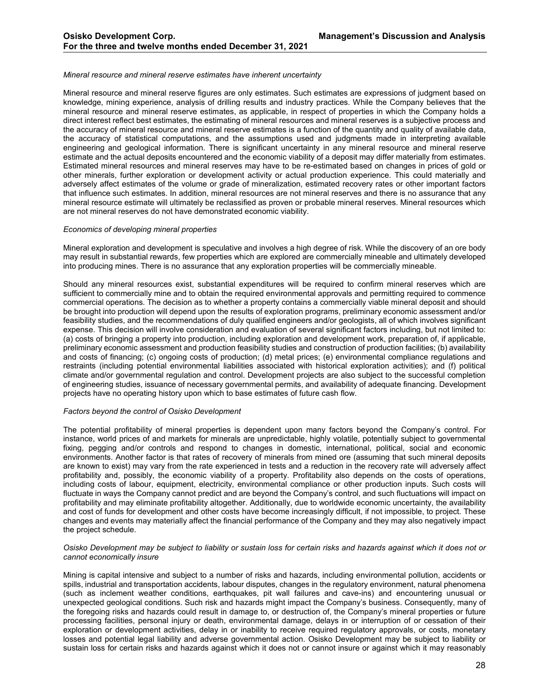#### *Mineral resource and mineral reserve estimates have inherent uncertainty*

Mineral resource and mineral reserve figures are only estimates. Such estimates are expressions of judgment based on knowledge, mining experience, analysis of drilling results and industry practices. While the Company believes that the mineral resource and mineral reserve estimates, as applicable, in respect of properties in which the Company holds a direct interest reflect best estimates, the estimating of mineral resources and mineral reserves is a subjective process and the accuracy of mineral resource and mineral reserve estimates is a function of the quantity and quality of available data, the accuracy of statistical computations, and the assumptions used and judgments made in interpreting available engineering and geological information. There is significant uncertainty in any mineral resource and mineral reserve estimate and the actual deposits encountered and the economic viability of a deposit may differ materially from estimates. Estimated mineral resources and mineral reserves may have to be re-estimated based on changes in prices of gold or other minerals, further exploration or development activity or actual production experience. This could materially and adversely affect estimates of the volume or grade of mineralization, estimated recovery rates or other important factors that influence such estimates. In addition, mineral resources are not mineral reserves and there is no assurance that any mineral resource estimate will ultimately be reclassified as proven or probable mineral reserves. Mineral resources which are not mineral reserves do not have demonstrated economic viability.

#### *Economics of developing mineral properties*

Mineral exploration and development is speculative and involves a high degree of risk. While the discovery of an ore body may result in substantial rewards, few properties which are explored are commercially mineable and ultimately developed into producing mines. There is no assurance that any exploration properties will be commercially mineable.

Should any mineral resources exist, substantial expenditures will be required to confirm mineral reserves which are sufficient to commercially mine and to obtain the required environmental approvals and permitting required to commence commercial operations. The decision as to whether a property contains a commercially viable mineral deposit and should be brought into production will depend upon the results of exploration programs, preliminary economic assessment and/or feasibility studies, and the recommendations of duly qualified engineers and/or geologists, all of which involves significant expense. This decision will involve consideration and evaluation of several significant factors including, but not limited to: (a) costs of bringing a property into production, including exploration and development work, preparation of, if applicable, preliminary economic assessment and production feasibility studies and construction of production facilities; (b) availability and costs of financing; (c) ongoing costs of production; (d) metal prices; (e) environmental compliance regulations and restraints (including potential environmental liabilities associated with historical exploration activities); and (f) political climate and/or governmental regulation and control. Development projects are also subject to the successful completion of engineering studies, issuance of necessary governmental permits, and availability of adequate financing. Development projects have no operating history upon which to base estimates of future cash flow.

#### *Factors beyond the control of Osisko Development*

The potential profitability of mineral properties is dependent upon many factors beyond the Company's control. For instance, world prices of and markets for minerals are unpredictable, highly volatile, potentially subject to governmental fixing, pegging and/or controls and respond to changes in domestic, international, political, social and economic environments. Another factor is that rates of recovery of minerals from mined ore (assuming that such mineral deposits are known to exist) may vary from the rate experienced in tests and a reduction in the recovery rate will adversely affect profitability and, possibly, the economic viability of a property. Profitability also depends on the costs of operations, including costs of labour, equipment, electricity, environmental compliance or other production inputs. Such costs will fluctuate in ways the Company cannot predict and are beyond the Company's control, and such fluctuations will impact on profitability and may eliminate profitability altogether. Additionally, due to worldwide economic uncertainty, the availability and cost of funds for development and other costs have become increasingly difficult, if not impossible, to project. These changes and events may materially affect the financial performance of the Company and they may also negatively impact the project schedule.

#### *Osisko Development may be subject to liability or sustain loss for certain risks and hazards against which it does not or cannot economically insure*

Mining is capital intensive and subject to a number of risks and hazards, including environmental pollution, accidents or spills, industrial and transportation accidents, labour disputes, changes in the regulatory environment, natural phenomena (such as inclement weather conditions, earthquakes, pit wall failures and cave-ins) and encountering unusual or unexpected geological conditions. Such risk and hazards might impact the Company's business. Consequently, many of the foregoing risks and hazards could result in damage to, or destruction of, the Company's mineral properties or future processing facilities, personal injury or death, environmental damage, delays in or interruption of or cessation of their exploration or development activities, delay in or inability to receive required regulatory approvals, or costs, monetary losses and potential legal liability and adverse governmental action. Osisko Development may be subject to liability or sustain loss for certain risks and hazards against which it does not or cannot insure or against which it may reasonably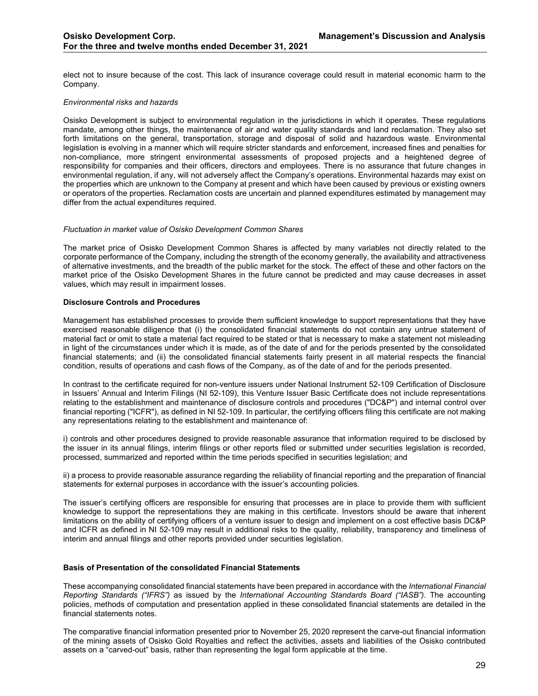elect not to insure because of the cost. This lack of insurance coverage could result in material economic harm to the Company.

# *Environmental risks and hazards*

Osisko Development is subject to environmental regulation in the jurisdictions in which it operates. These regulations mandate, among other things, the maintenance of air and water quality standards and land reclamation. They also set forth limitations on the general, transportation, storage and disposal of solid and hazardous waste. Environmental legislation is evolving in a manner which will require stricter standards and enforcement, increased fines and penalties for non-compliance, more stringent environmental assessments of proposed projects and a heightened degree of responsibility for companies and their officers, directors and employees. There is no assurance that future changes in environmental regulation, if any, will not adversely affect the Company's operations. Environmental hazards may exist on the properties which are unknown to the Company at present and which have been caused by previous or existing owners or operators of the properties. Reclamation costs are uncertain and planned expenditures estimated by management may differ from the actual expenditures required.

# *Fluctuation in market value of Osisko Development Common Shares*

The market price of Osisko Development Common Shares is affected by many variables not directly related to the corporate performance of the Company, including the strength of the economy generally, the availability and attractiveness of alternative investments, and the breadth of the public market for the stock. The effect of these and other factors on the market price of the Osisko Development Shares in the future cannot be predicted and may cause decreases in asset values, which may result in impairment losses.

# <span id="page-28-0"></span>**Disclosure Controls and Procedures**

Management has established processes to provide them sufficient knowledge to support representations that they have exercised reasonable diligence that (i) the consolidated financial statements do not contain any untrue statement of material fact or omit to state a material fact required to be stated or that is necessary to make a statement not misleading in light of the circumstances under which it is made, as of the date of and for the periods presented by the consolidated financial statements; and (ii) the consolidated financial statements fairly present in all material respects the financial condition, results of operations and cash flows of the Company, as of the date of and for the periods presented.

In contrast to the certificate required for non-venture issuers under National Instrument 52-109 Certification of Disclosure in Issuers' Annual and Interim Filings (NI 52-109), this Venture Issuer Basic Certificate does not include representations relating to the establishment and maintenance of disclosure controls and procedures ("DC&P") and internal control over financial reporting ("ICFR"), as defined in NI 52-109. In particular, the certifying officers filing this certificate are not making any representations relating to the establishment and maintenance of:

i) controls and other procedures designed to provide reasonable assurance that information required to be disclosed by the issuer in its annual filings, interim filings or other reports filed or submitted under securities legislation is recorded, processed, summarized and reported within the time periods specified in securities legislation; and

ii) a process to provide reasonable assurance regarding the reliability of financial reporting and the preparation of financial statements for external purposes in accordance with the issuer's accounting policies.

The issuer's certifying officers are responsible for ensuring that processes are in place to provide them with sufficient knowledge to support the representations they are making in this certificate. Investors should be aware that inherent limitations on the ability of certifying officers of a venture issuer to design and implement on a cost effective basis DC&P and ICFR as defined in NI 52-109 may result in additional risks to the quality, reliability, transparency and timeliness of interim and annual filings and other reports provided under securities legislation.

# <span id="page-28-1"></span>**Basis of Presentation of the consolidated Financial Statements**

These accompanying consolidated financial statements have been prepared in accordance with the *International Financial Reporting Standards ("IFRS")* as issued by the *International Accounting Standards Board ("IASB")*. The accounting policies, methods of computation and presentation applied in these consolidated financial statements are detailed in the financial statements notes.

The comparative financial information presented prior to November 25, 2020 represent the carve-out financial information of the mining assets of Osisko Gold Royalties and reflect the activities, assets and liabilities of the Osisko contributed assets on a "carved-out" basis, rather than representing the legal form applicable at the time.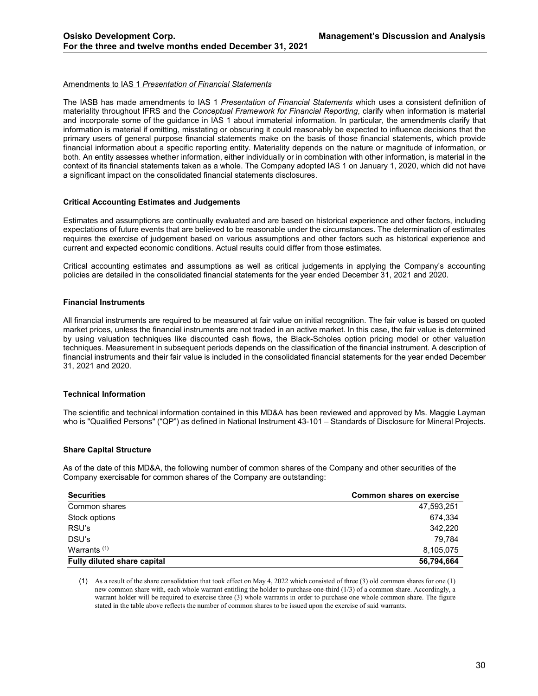#### Amendments to IAS 1 *Presentation of Financial Statements*

The IASB has made amendments to IAS 1 *Presentation of Financial Statements* which uses a consistent definition of materiality throughout IFRS and the *Conceptual Framework for Financial Reporting*, clarify when information is material and incorporate some of the guidance in IAS 1 about immaterial information. In particular, the amendments clarify that information is material if omitting, misstating or obscuring it could reasonably be expected to influence decisions that the primary users of general purpose financial statements make on the basis of those financial statements, which provide financial information about a specific reporting entity. Materiality depends on the nature or magnitude of information, or both. An entity assesses whether information, either individually or in combination with other information, is material in the context of its financial statements taken as a whole. The Company adopted IAS 1 on January 1, 2020, which did not have a significant impact on the consolidated financial statements disclosures.

#### <span id="page-29-0"></span>**Critical Accounting Estimates and Judgements**

Estimates and assumptions are continually evaluated and are based on historical experience and other factors, including expectations of future events that are believed to be reasonable under the circumstances. The determination of estimates requires the exercise of judgement based on various assumptions and other factors such as historical experience and current and expected economic conditions. Actual results could differ from those estimates.

Critical accounting estimates and assumptions as well as critical judgements in applying the Company's accounting policies are detailed in the consolidated financial statements for the year ended December 31, 2021 and 2020.

#### <span id="page-29-1"></span>**Financial Instruments**

All financial instruments are required to be measured at fair value on initial recognition. The fair value is based on quoted market prices, unless the financial instruments are not traded in an active market. In this case, the fair value is determined by using valuation techniques like discounted cash flows, the Black-Scholes option pricing model or other valuation techniques. Measurement in subsequent periods depends on the classification of the financial instrument. A description of financial instruments and their fair value is included in the consolidated financial statements for the year ended December 31, 2021 and 2020.

#### <span id="page-29-2"></span>**Technical Information**

The scientific and technical information contained in this MD&A has been reviewed and approved by Ms. Maggie Layman who is "Qualified Persons" ("QP") as defined in National Instrument 43-101 – Standards of Disclosure for Mineral Projects.

#### <span id="page-29-3"></span>**Share Capital Structure**

As of the date of this MD&A, the following number of common shares of the Company and other securities of the Company exercisable for common shares of the Company are outstanding:

| <b>Securities</b>                  | <b>Common shares on exercise</b> |
|------------------------------------|----------------------------------|
| Common shares                      | 47,593,251                       |
| Stock options                      | 674.334                          |
| RSU's                              | 342.220                          |
| DSU's                              | 79.784                           |
| Warrants $(1)$                     | 8.105.075                        |
| <b>Fully diluted share capital</b> | 56,794,664                       |

(1) As a result of the share consolidation that took effect on May 4, 2022 which consisted of three (3) old common shares for one (1) new common share with, each whole warrant entitling the holder to purchase one-third (1/3) of a common share. Accordingly, a warrant holder will be required to exercise three (3) whole warrants in order to purchase one whole common share. The figure stated in the table above reflects the number of common shares to be issued upon the exercise of said warrants.